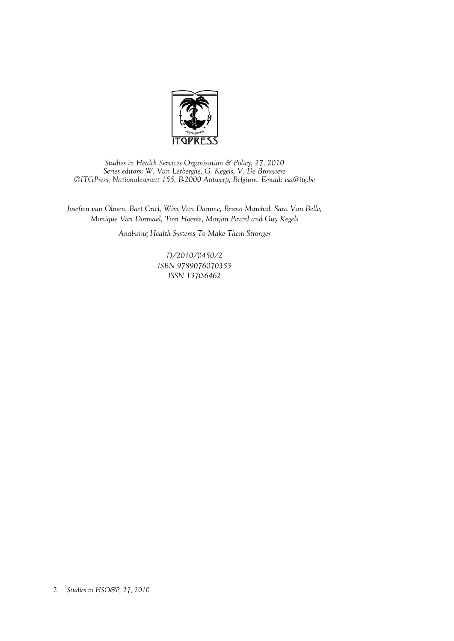

*Studies in Health Services Organisation & Policy, 27, 2010 Series editors: W. Van Lerberghe, G. Kegels, V. De Brouwere ©ITGPress, Nationalestraat 155, B-2000 Antwerp, Belgium. E-mail: isa@itg.be* 

*Josefien van Olmen, Bart Criel, Wim Van Damme, Bruno Marchal, Sara Van Belle, Monique Van Dormael, Tom Hoerée, Marjan Pirard and Guy Kegels* 

*Analysing Health Systems To Make Them Stronger* 

*D/2010/0450/2 ISBN 9789076070353 ISSN 1370-6462*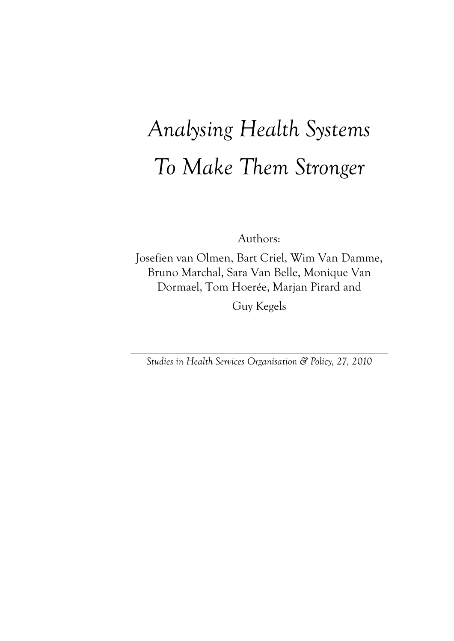# *Analysing Health Systems To Make Them Stronger*

Authors:

Josefien van Olmen, Bart Criel, Wim Van Damme, Bruno Marchal, Sara Van Belle, Monique Van Dormael, Tom Hoerée, Marjan Pirard and Guy Kegels

*Studies in Health Services Organisation & Policy, 27, 2010*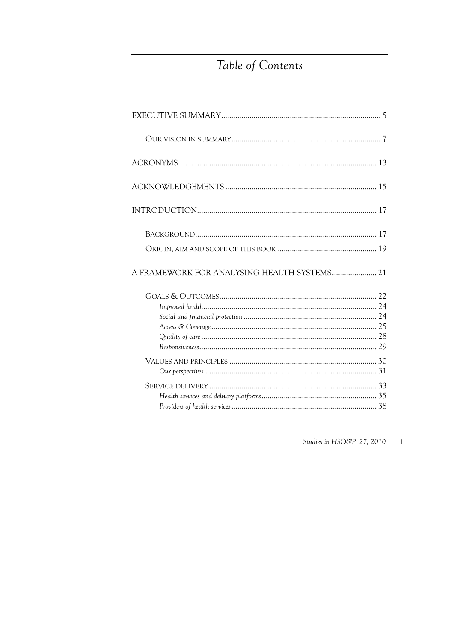# Table of Contents

| A FRAMEWORK FOR ANALYSING HEALTH SYSTEMS 21 |  |
|---------------------------------------------|--|
|                                             |  |
|                                             |  |
|                                             |  |
|                                             |  |
|                                             |  |
|                                             |  |
|                                             |  |
|                                             |  |
|                                             |  |

Studies in HSO&P, 27, 2010  $\overline{1}$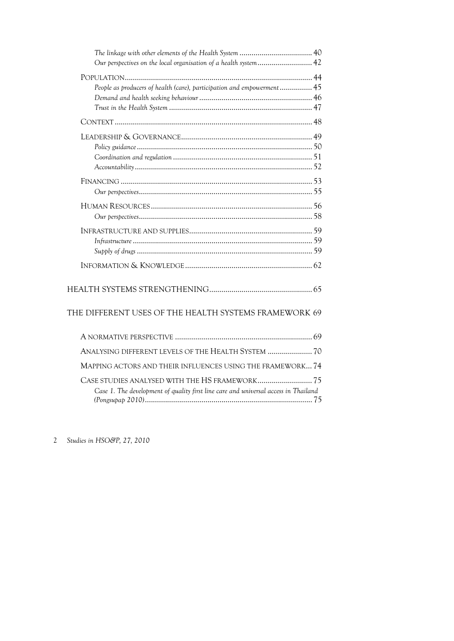| Our perspectives on the local organisation of a health system 42                    |  |
|-------------------------------------------------------------------------------------|--|
|                                                                                     |  |
| People as producers of health (care), participation and empowerment 45              |  |
|                                                                                     |  |
|                                                                                     |  |
|                                                                                     |  |
|                                                                                     |  |
|                                                                                     |  |
|                                                                                     |  |
|                                                                                     |  |
|                                                                                     |  |
|                                                                                     |  |
|                                                                                     |  |
|                                                                                     |  |
|                                                                                     |  |
|                                                                                     |  |
|                                                                                     |  |
|                                                                                     |  |
|                                                                                     |  |
| THE DIFFERENT USES OF THE HEALTH SYSTEMS FRAMEWORK 69                               |  |
|                                                                                     |  |
| ANALYSING DIFFERENT LEVELS OF THE HEALTH SYSTEM  70                                 |  |
| MAPPING ACTORS AND THEIR INFLUENCES USING THE FRAMEWORK 74                          |  |
|                                                                                     |  |
| Case 1. The development of quality first line care and universal access in Thailand |  |
|                                                                                     |  |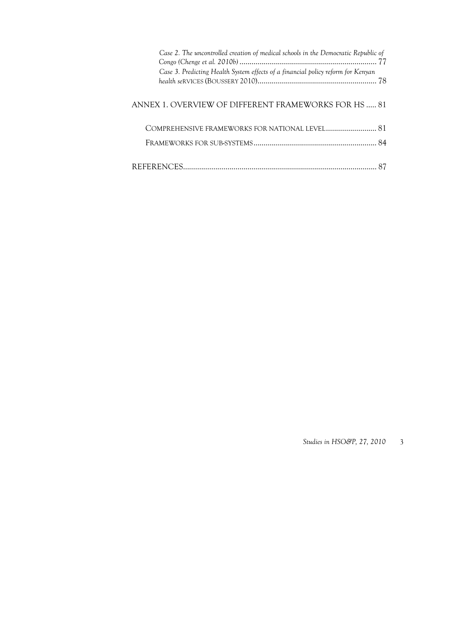| Case 2. The uncontrolled creation of medical schools in the Democratic Republic of |  |
|------------------------------------------------------------------------------------|--|
| Case 3. Predicting Health System effects of a financial policy reform for Kenyan   |  |
| ANNEX 1. OVERVIEW OF DIFFERENT FRAMEWORKS FOR HS  81                               |  |
| COMPREHENSIVE FRAMEWORKS FOR NATIONAL LEVEL 81                                     |  |
|                                                                                    |  |
|                                                                                    |  |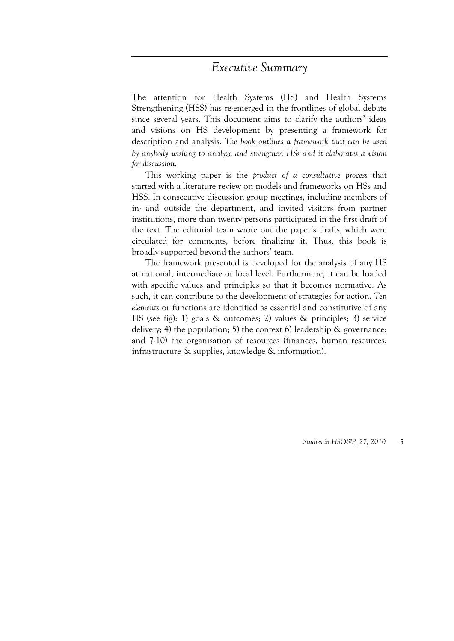# *Executive Summary*

The attention for Health Systems (HS) and Health Systems Strengthening (HSS) has re-emerged in the frontlines of global debate since several years. This document aims to clarify the authors' ideas and visions on HS development by presenting a framework for description and analysis. *The book outlines a framework that can be used by anybody wishing to analyze and strengthen HSs and it elaborates a vision for discussion*.

This working paper is the *product of a consultative process* that started with a literature review on models and frameworks on HSs and HSS. In consecutive discussion group meetings, including members of in- and outside the department, and invited visitors from partner institutions, more than twenty persons participated in the first draft of the text. The editorial team wrote out the paper's drafts, which were circulated for comments, before finalizing it. Thus, this book is broadly supported beyond the authors' team.

The framework presented is developed for the analysis of any HS at national, intermediate or local level. Furthermore, it can be loaded with specific values and principles so that it becomes normative. As such, it can contribute to the development of strategies for action. *Ten elements* or functions are identified as essential and constitutive of any HS (see fig): 1) goals & outcomes; 2) values & principles; 3) service delivery; 4) the population; 5) the context 6) leadership & governance; and 7-10) the organisation of resources (finances, human resources, infrastructure & supplies, knowledge & information).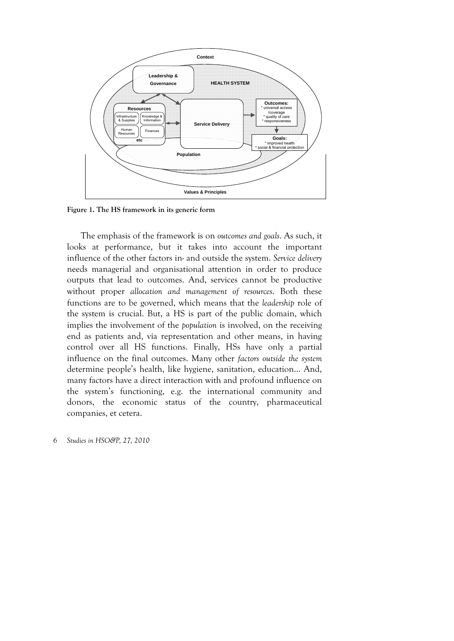

**Figure 1. The HS framework in its generic form** 

The emphasis of the framework is on *outcomes and goals*. As such, it looks at performance, but it takes into account the important influence of the other factors in- and outside the system. *Service delivery* needs managerial and organisational attention in order to produce outputs that lead to outcomes. And, services cannot be productive without proper *allocation and management of resources*. Both these functions are to be governed, which means that the *leadership* role of the system is crucial. But, a HS is part of the public domain, which implies the involvement of the *population* is involved, on the receiving end as patients and, via representation and other means, in having control over all HS functions. Finally, HSs have only a partial influence on the final outcomes. Many other *factors outside the system* determine people's health, like hygiene, sanitation, education… And, many factors have a direct interaction with and profound influence on the system's functioning, e.g. the international community and donors, the economic status of the country, pharmaceutical companies, et cetera.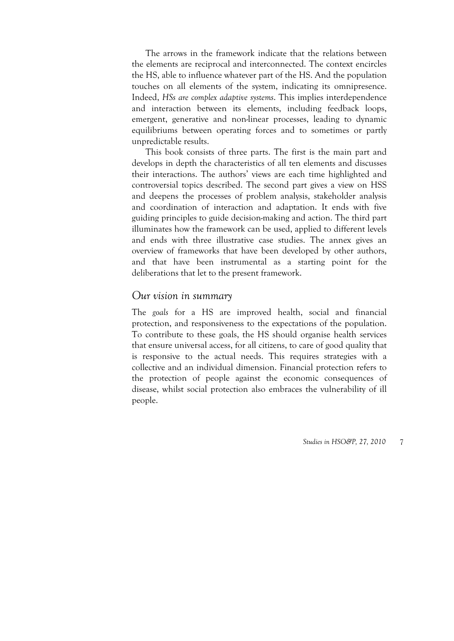The arrows in the framework indicate that the relations between the elements are reciprocal and interconnected. The context encircles the HS, able to influence whatever part of the HS. And the population touches on all elements of the system, indicating its omnipresence. Indeed, *HSs are complex adaptive systems*. This implies interdependence and interaction between its elements, including feedback loops, emergent, generative and non-linear processes, leading to dynamic equilibriums between operating forces and to sometimes or partly unpredictable results.

This book consists of three parts. The first is the main part and develops in depth the characteristics of all ten elements and discusses their interactions. The authors' views are each time highlighted and controversial topics described. The second part gives a view on HSS and deepens the processes of problem analysis, stakeholder analysis and coordination of interaction and adaptation. It ends with five guiding principles to guide decision-making and action. The third part illuminates how the framework can be used, applied to different levels and ends with three illustrative case studies. The annex gives an overview of frameworks that have been developed by other authors, and that have been instrumental as a starting point for the deliberations that let to the present framework.

#### *Our vision in summary*

The *goals* for a HS are improved health, social and financial protection, and responsiveness to the expectations of the population. To contribute to these goals, the HS should organise health services that ensure universal access, for all citizens, to care of good quality that is responsive to the actual needs. This requires strategies with a collective and an individual dimension. Financial protection refers to the protection of people against the economic consequences of disease, whilst social protection also embraces the vulnerability of ill people.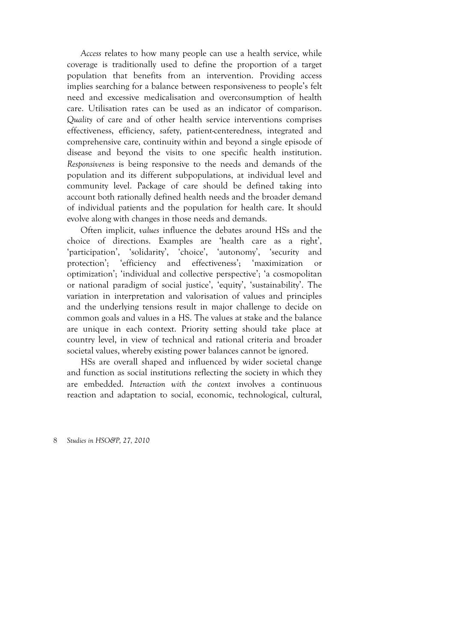*Access* relates to how many people can use a health service, while coverage is traditionally used to define the proportion of a target population that benefits from an intervention. Providing access implies searching for a balance between responsiveness to people's felt need and excessive medicalisation and overconsumption of health care. Utilisation rates can be used as an indicator of comparison. *Quality* of care and of other health service interventions comprises effectiveness, efficiency, safety, patient-centeredness, integrated and comprehensive care, continuity within and beyond a single episode of disease and beyond the visits to one specific health institution. *Responsiveness* is being responsive to the needs and demands of the population and its different subpopulations, at individual level and community level. Package of care should be defined taking into account both rationally defined health needs and the broader demand of individual patients and the population for health care. It should evolve along with changes in those needs and demands.

Often implicit, *values* influence the debates around HSs and the choice of directions. Examples are 'health care as a right', 'participation', 'solidarity', 'choice', 'autonomy', 'security and protection'; 'efficiency and effectiveness'; 'maximization or optimization'; 'individual and collective perspective'; 'a cosmopolitan or national paradigm of social justice', 'equity', 'sustainability'. The variation in interpretation and valorisation of values and principles and the underlying tensions result in major challenge to decide on common goals and values in a HS. The values at stake and the balance are unique in each context. Priority setting should take place at country level, in view of technical and rational criteria and broader societal values, whereby existing power balances cannot be ignored.

HSs are overall shaped and influenced by wider societal change and function as social institutions reflecting the society in which they are embedded. *Interaction with the context* involves a continuous reaction and adaptation to social, economic, technological, cultural,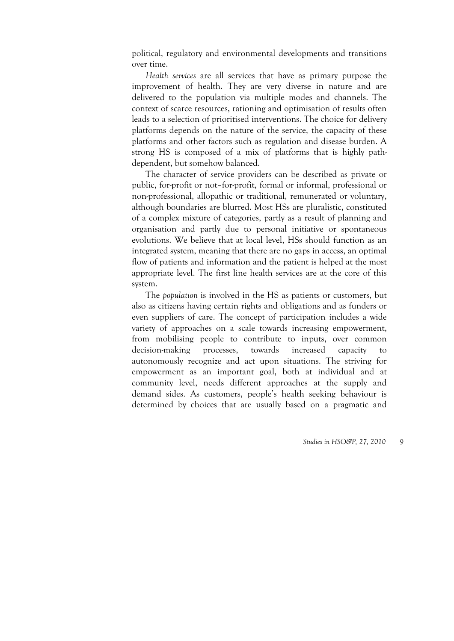political, regulatory and environmental developments and transitions over time.

*Health services* are all services that have as primary purpose the improvement of health. They are very diverse in nature and are delivered to the population via multiple modes and channels. The context of scarce resources, rationing and optimisation of results often leads to a selection of prioritised interventions. The choice for delivery platforms depends on the nature of the service, the capacity of these platforms and other factors such as regulation and disease burden. A strong HS is composed of a mix of platforms that is highly pathdependent, but somehow balanced.

The character of service providers can be described as private or public, for-profit or not–for-profit, formal or informal, professional or non-professional, allopathic or traditional, remunerated or voluntary, although boundaries are blurred. Most HSs are pluralistic, constituted of a complex mixture of categories, partly as a result of planning and organisation and partly due to personal initiative or spontaneous evolutions. We believe that at local level, HSs should function as an integrated system, meaning that there are no gaps in access, an optimal flow of patients and information and the patient is helped at the most appropriate level. The first line health services are at the core of this system.

The *population* is involved in the HS as patients or customers, but also as citizens having certain rights and obligations and as funders or even suppliers of care. The concept of participation includes a wide variety of approaches on a scale towards increasing empowerment, from mobilising people to contribute to inputs, over common decision-making processes, towards increased capacity to autonomously recognize and act upon situations. The striving for empowerment as an important goal, both at individual and at community level, needs different approaches at the supply and demand sides. As customers, people's health seeking behaviour is determined by choices that are usually based on a pragmatic and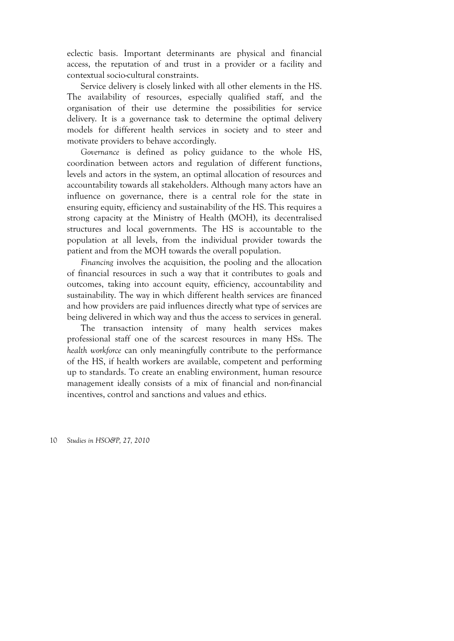eclectic basis. Important determinants are physical and financial access, the reputation of and trust in a provider or a facility and contextual socio-cultural constraints.

Service delivery is closely linked with all other elements in the HS. The availability of resources, especially qualified staff, and the organisation of their use determine the possibilities for service delivery. It is a governance task to determine the optimal delivery models for different health services in society and to steer and motivate providers to behave accordingly.

*Governance* is defined as policy guidance to the whole HS, coordination between actors and regulation of different functions, levels and actors in the system, an optimal allocation of resources and accountability towards all stakeholders. Although many actors have an influence on governance, there is a central role for the state in ensuring equity, efficiency and sustainability of the HS. This requires a strong capacity at the Ministry of Health (MOH), its decentralised structures and local governments. The HS is accountable to the population at all levels, from the individual provider towards the patient and from the MOH towards the overall population.

*Financing* involves the acquisition, the pooling and the allocation of financial resources in such a way that it contributes to goals and outcomes, taking into account equity, efficiency, accountability and sustainability. The way in which different health services are financed and how providers are paid influences directly what type of services are being delivered in which way and thus the access to services in general.

The transaction intensity of many health services makes professional staff one of the scarcest resources in many HSs. The *health workforce* can only meaningfully contribute to the performance of the HS, if health workers are available, competent and performing up to standards. To create an enabling environment, human resource management ideally consists of a mix of financial and non-financial incentives, control and sanctions and values and ethics.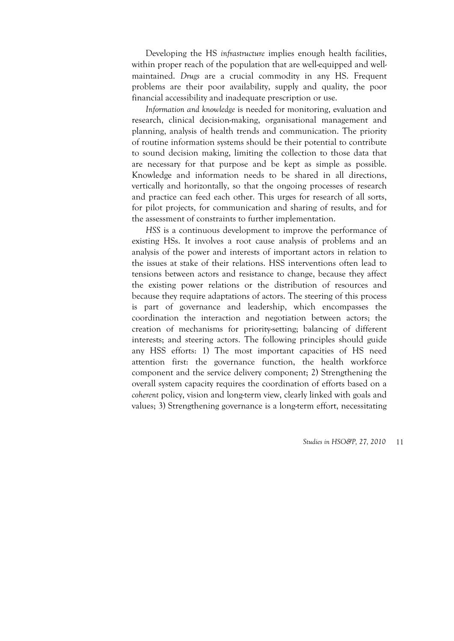Developing the HS *infrastructure* implies enough health facilities, within proper reach of the population that are well-equipped and wellmaintained. *Drugs* are a crucial commodity in any HS. Frequent problems are their poor availability, supply and quality, the poor financial accessibility and inadequate prescription or use.

*Information and knowledge* is needed for monitoring, evaluation and research, clinical decision-making, organisational management and planning, analysis of health trends and communication. The priority of routine information systems should be their potential to contribute to sound decision making, limiting the collection to those data that are necessary for that purpose and be kept as simple as possible. Knowledge and information needs to be shared in all directions, vertically and horizontally, so that the ongoing processes of research and practice can feed each other. This urges for research of all sorts, for pilot projects, for communication and sharing of results, and for the assessment of constraints to further implementation.

*HSS* is a continuous development to improve the performance of existing HSs. It involves a root cause analysis of problems and an analysis of the power and interests of important actors in relation to the issues at stake of their relations. HSS interventions often lead to tensions between actors and resistance to change, because they affect the existing power relations or the distribution of resources and because they require adaptations of actors. The steering of this process is part of governance and leadership, which encompasses the coordination the interaction and negotiation between actors; the creation of mechanisms for priority-setting; balancing of different interests; and steering actors. The following principles should guide any HSS efforts: 1) The most important capacities of HS need attention first: the governance function, the health workforce component and the service delivery component; 2) Strengthening the overall system capacity requires the coordination of efforts based on a *coherent* policy, vision and long-term view, clearly linked with goals and values; 3) Strengthening governance is a long-term effort, necessitating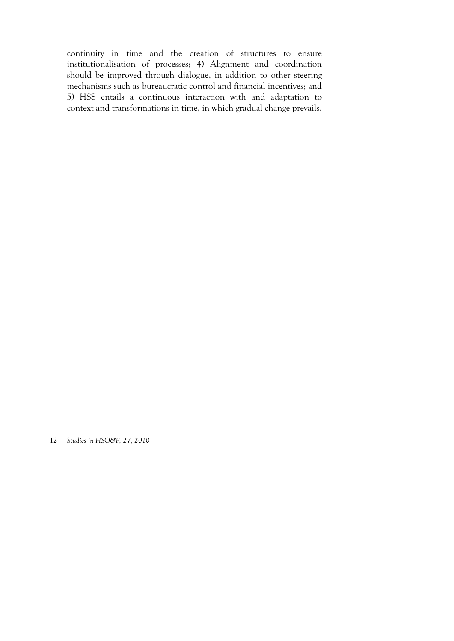continuity in time and the creation of structures to ensure institutionalisation of processes; 4) Alignment and coordination should be improved through dialogue, in addition to other steering mechanisms such as bureaucratic control and financial incentives; and 5) HSS entails a continuous interaction with and adaptation to context and transformations in time, in which gradual change prevails.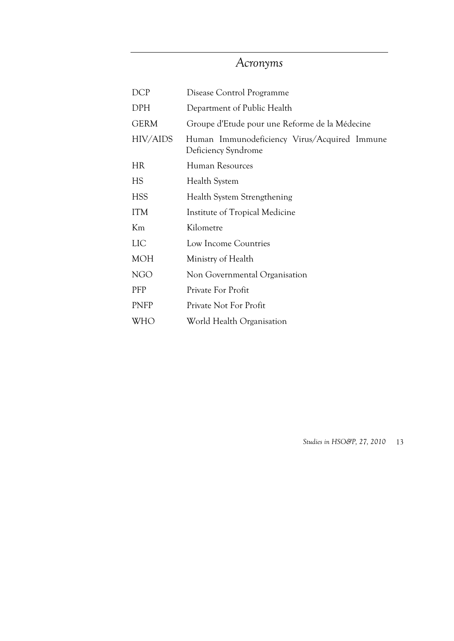# *Acronyms*

| <b>DCP</b>  | Disease Control Programme                                           |
|-------------|---------------------------------------------------------------------|
| DPH         | Department of Public Health                                         |
| <b>GERM</b> | Groupe d'Etude pour une Reforme de la Médecine                      |
| HIV/AIDS    | Human Immunodeficiency Virus/Acquired Immune<br>Deficiency Syndrome |
| <b>HR</b>   | Human Resources                                                     |
| HS          | Health System                                                       |
| <b>HSS</b>  | Health System Strengthening                                         |
| <b>ITM</b>  | Institute of Tropical Medicine                                      |
| Km          | Kilometre                                                           |
| LIC         | Low Income Countries                                                |
| <b>MOH</b>  | Ministry of Health                                                  |
| <b>NGO</b>  | Non Governmental Organisation                                       |
| PFP         | Private For Profit                                                  |
| PNFP        | Private Not For Profit                                              |
| WHO         | World Health Organisation                                           |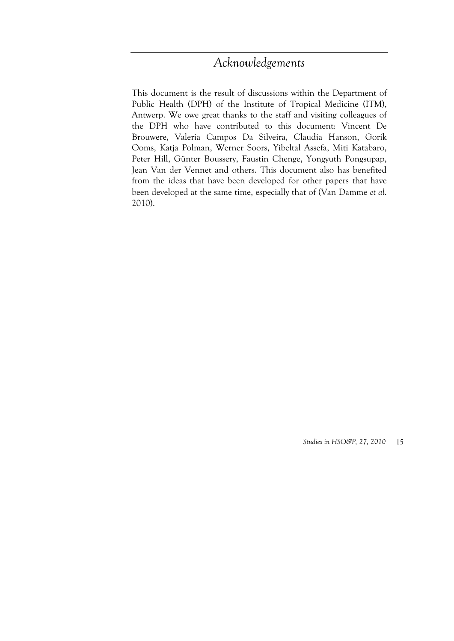# *Acknowledgements*

This document is the result of discussions within the Department of Public Health (DPH) of the Institute of Tropical Medicine (ITM), Antwerp. We owe great thanks to the staff and visiting colleagues of the DPH who have contributed to this document: Vincent De Brouwere, Valeria Campos Da Silveira, Claudia Hanson, Gorik Ooms, Katja Polman, Werner Soors, Yibeltal Assefa, Miti Katabaro, Peter Hill, Günter Boussery, Faustin Chenge, Yongyuth Pongsupap, Jean Van der Vennet and others. This document also has benefited from the ideas that have been developed for other papers that have been developed at the same time, especially that of (Van Damme *et al*. 2010).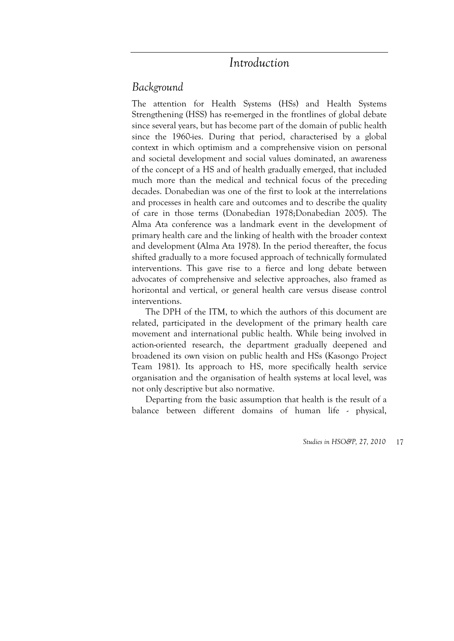# *Introduction*

## *Background*

The attention for Health Systems (HSs) and Health Systems Strengthening (HSS) has re-emerged in the frontlines of global debate since several years, but has become part of the domain of public health since the 1960-ies. During that period, characterised by a global context in which optimism and a comprehensive vision on personal and societal development and social values dominated, an awareness of the concept of a HS and of health gradually emerged, that included much more than the medical and technical focus of the preceding decades. Donabedian was one of the first to look at the interrelations and processes in health care and outcomes and to describe the quality of care in those terms (Donabedian 1978;Donabedian 2005). The Alma Ata conference was a landmark event in the development of primary health care and the linking of health with the broader context and development (Alma Ata 1978). In the period thereafter, the focus shifted gradually to a more focused approach of technically formulated interventions. This gave rise to a fierce and long debate between advocates of comprehensive and selective approaches, also framed as horizontal and vertical, or general health care versus disease control interventions.

The DPH of the ITM, to which the authors of this document are related, participated in the development of the primary health care movement and international public health. While being involved in action-oriented research, the department gradually deepened and broadened its own vision on public health and HSs (Kasongo Project Team 1981). Its approach to HS, more specifically health service organisation and the organisation of health systems at local level, was not only descriptive but also normative.

Departing from the basic assumption that health is the result of a balance between different domains of human life - physical,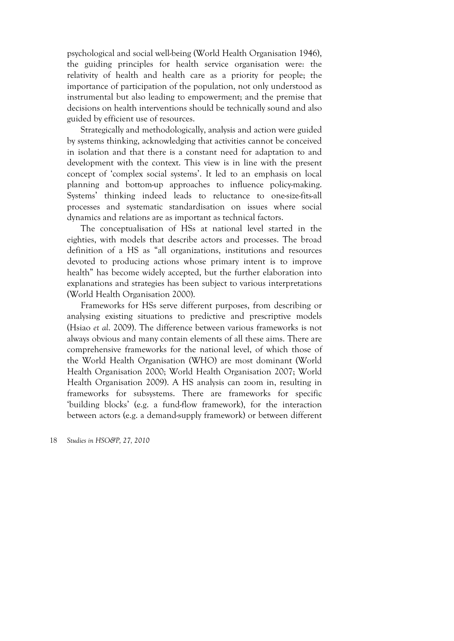psychological and social well-being (World Health Organisation 1946), the guiding principles for health service organisation were: the relativity of health and health care as a priority for people; the importance of participation of the population, not only understood as instrumental but also leading to empowerment; and the premise that decisions on health interventions should be technically sound and also guided by efficient use of resources.

Strategically and methodologically, analysis and action were guided by systems thinking, acknowledging that activities cannot be conceived in isolation and that there is a constant need for adaptation to and development with the context. This view is in line with the present concept of 'complex social systems'. It led to an emphasis on local planning and bottom-up approaches to influence policy-making. Systems' thinking indeed leads to reluctance to one-size-fits-all processes and systematic standardisation on issues where social dynamics and relations are as important as technical factors.

The conceptualisation of HSs at national level started in the eighties, with models that describe actors and processes. The broad definition of a HS as "all organizations, institutions and resources devoted to producing actions whose primary intent is to improve health" has become widely accepted, but the further elaboration into explanations and strategies has been subject to various interpretations (World Health Organisation 2000).

Frameworks for HSs serve different purposes, from describing or analysing existing situations to predictive and prescriptive models (Hsiao *et al*. 2009). The difference between various frameworks is not always obvious and many contain elements of all these aims. There are comprehensive frameworks for the national level, of which those of the World Health Organisation (WHO) are most dominant (World Health Organisation 2000; World Health Organisation 2007; World Health Organisation 2009). A HS analysis can zoom in, resulting in frameworks for subsystems. There are frameworks for specific 'building blocks' (e.g. a fund-flow framework), for the interaction between actors (e.g. a demand-supply framework) or between different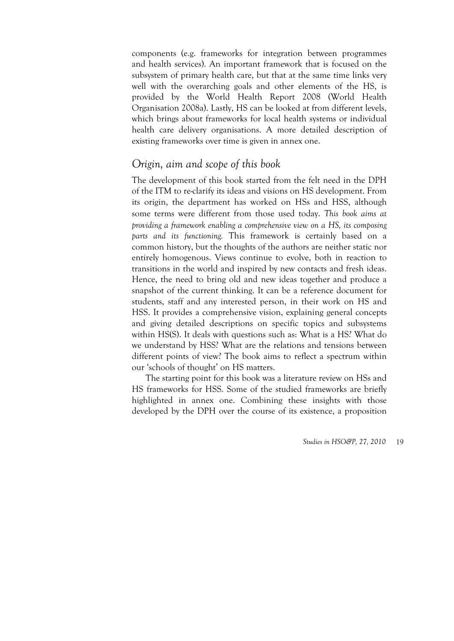components (e.g. frameworks for integration between programmes and health services). An important framework that is focused on the subsystem of primary health care, but that at the same time links very well with the overarching goals and other elements of the HS, is provided by the World Health Report 2008 (World Health Organisation 2008a). Lastly, HS can be looked at from different levels, which brings about frameworks for local health systems or individual health care delivery organisations. A more detailed description of existing frameworks over time is given in annex one.

## *Origin, aim and scope of this book*

The development of this book started from the felt need in the DPH of the ITM to re-clarify its ideas and visions on HS development. From its origin, the department has worked on HSs and HSS, although some terms were different from those used today. *This book aims at providing a framework enabling a comprehensive view on a HS, its composing parts and its functioning.* This framework is certainly based on a common history, but the thoughts of the authors are neither static nor entirely homogenous. Views continue to evolve, both in reaction to transitions in the world and inspired by new contacts and fresh ideas. Hence, the need to bring old and new ideas together and produce a snapshot of the current thinking. It can be a reference document for students, staff and any interested person, in their work on HS and HSS. It provides a comprehensive vision, explaining general concepts and giving detailed descriptions on specific topics and subsystems within HS(S). It deals with questions such as: What is a HS? What do we understand by HSS? What are the relations and tensions between different points of view? The book aims to reflect a spectrum within our 'schools of thought' on HS matters.

The starting point for this book was a literature review on HSs and HS frameworks for HSS. Some of the studied frameworks are briefly highlighted in annex one. Combining these insights with those developed by the DPH over the course of its existence, a proposition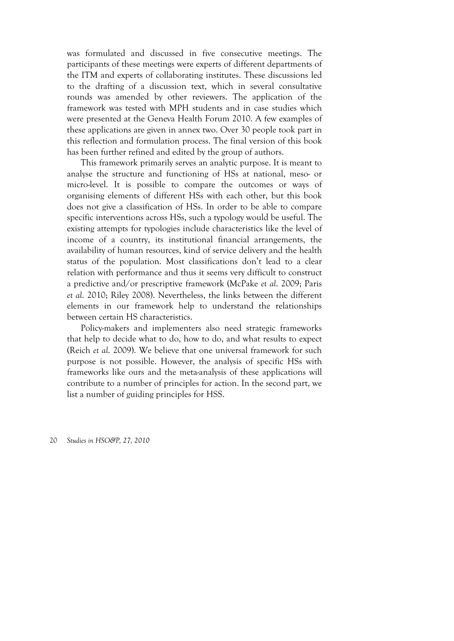was formulated and discussed in five consecutive meetings. The participants of these meetings were experts of different departments of the ITM and experts of collaborating institutes. These discussions led to the drafting of a discussion text, which in several consultative rounds was amended by other reviewers. The application of the framework was tested with MPH students and in case studies which were presented at the Geneva Health Forum 2010. A few examples of these applications are given in annex two. Over 30 people took part in this reflection and formulation process. The final version of this book has been further refined and edited by the group of authors.

This framework primarily serves an analytic purpose. It is meant to analyse the structure and functioning of HSs at national, meso- or micro-level. It is possible to compare the outcomes or ways of organising elements of different HSs with each other, but this book does not give a classification of HSs. In order to be able to compare specific interventions across HSs, such a typology would be useful. The existing attempts for typologies include characteristics like the level of income of a country, its institutional financial arrangements, the availability of human resources, kind of service delivery and the health status of the population. Most classifications don't lead to a clear relation with performance and thus it seems very difficult to construct a predictive and/or prescriptive framework (McPake *et al*. 2009; Paris *et al*. 2010; Riley 2008). Nevertheless, the links between the different elements in our framework help to understand the relationships between certain HS characteristics.

Policy-makers and implementers also need strategic frameworks that help to decide what to do, how to do, and what results to expect (Reich *et al*. 2009). We believe that one universal framework for such purpose is not possible. However, the analysis of specific HSs with frameworks like ours and the meta-analysis of these applications will contribute to a number of principles for action. In the second part, we list a number of guiding principles for HSS.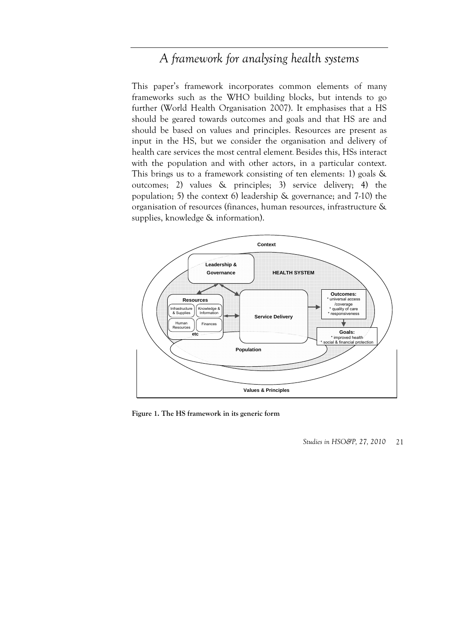# *A framework for analysing health systems*

This paper's framework incorporates common elements of many frameworks such as the WHO building blocks, but intends to go further (World Health Organisation 2007). It emphasises that a HS should be geared towards outcomes and goals and that HS are and should be based on values and principles. Resources are present as input in the HS, but we consider the organisation and delivery of health care services the most central element. Besides this, HSs interact with the population and with other actors, in a particular context. This brings us to a framework consisting of ten elements: 1) goals & outcomes; 2) values & principles; 3) service delivery; 4) the population; 5) the context 6) leadership & governance; and 7-10) the organisation of resources (finances, human resources, infrastructure & supplies, knowledge & information).



**Figure 1. The HS framework in its generic form**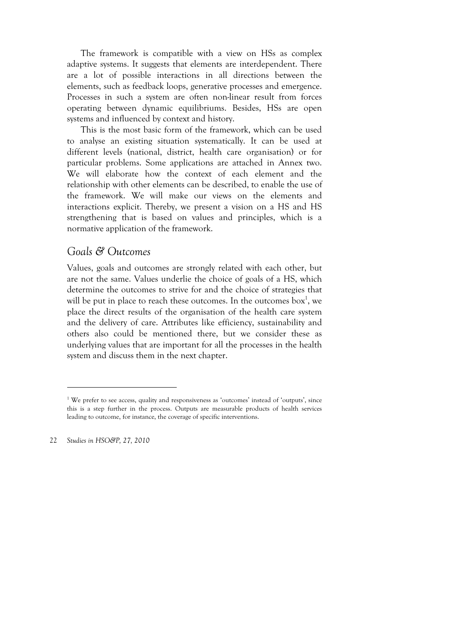The framework is compatible with a view on HSs as complex adaptive systems. It suggests that elements are interdependent. There are a lot of possible interactions in all directions between the elements, such as feedback loops, generative processes and emergence. Processes in such a system are often non-linear result from forces operating between dynamic equilibriums. Besides, HSs are open systems and influenced by context and history.

This is the most basic form of the framework, which can be used to analyse an existing situation systematically. It can be used at different levels (national, district, health care organisation) or for particular problems. Some applications are attached in Annex two. We will elaborate how the context of each element and the relationship with other elements can be described, to enable the use of the framework. We will make our views on the elements and interactions explicit. Thereby, we present a vision on a HS and HS strengthening that is based on values and principles, which is a normative application of the framework.

## *Goals & Outcomes*

Values, goals and outcomes are strongly related with each other, but are not the same. Values underlie the choice of goals of a HS, which determine the outcomes to strive for and the choice of strategies that will be put in place to reach these outcomes. In the outcomes  $box<sup>1</sup>$ , we place the direct results of the organisation of the health care system and the delivery of care. Attributes like efficiency, sustainability and others also could be mentioned there, but we consider these as underlying values that are important for all the processes in the health system and discuss them in the next chapter.

22 *Studies in HSO&P, 27, 2010* 

 $\overline{a}$ 

<sup>&</sup>lt;sup>1</sup> We prefer to see access, quality and responsiveness as 'outcomes' instead of 'outputs', since this is a step further in the process. Outputs are measurable products of health services leading to outcome, for instance, the coverage of specific interventions.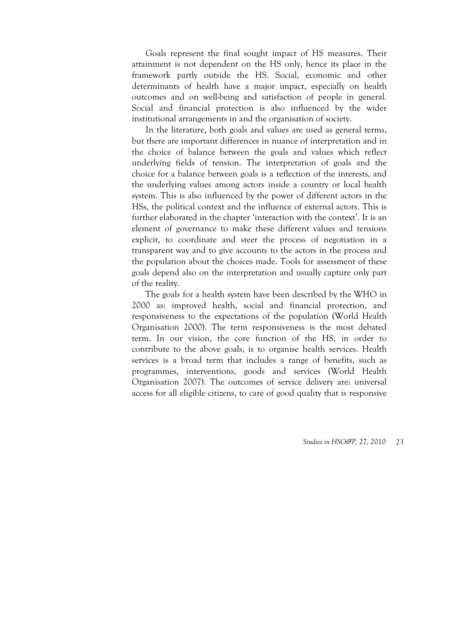Goals represent the final sought impact of HS measures. Their attainment is not dependent on the HS only, hence its place in the framework partly outside the HS. Social, economic and other determinants of health have a major impact, especially on health outcomes and on well-being and satisfaction of people in general. Social and financial protection is also influenced by the wider institutional arrangements in and the organisation of society.

In the literature, both goals and values are used as general terms, but there are important differences in nuance of interpretation and in the choice of balance between the goals and values which reflect underlying fields of tension. The interpretation of goals and the choice for a balance between goals is a reflection of the interests, and the underlying values among actors inside a country or local health system. This is also influenced by the power of different actors in the HSs, the political context and the influence of external actors. This is further elaborated in the chapter 'interaction with the context'. It is an element of governance to make these different values and tensions explicit, to coordinate and steer the process of negotiation in a transparent way and to give accounts to the actors in the process and the population about the choices made. Tools for assessment of these goals depend also on the interpretation and usually capture only part of the reality.

The goals for a health system have been described by the WHO in 2000 as: improved health, social and financial protection, and responsiveness to the expectations of the population (World Health Organisation 2000). The term responsiveness is the most debated term. In our vision, the core function of the HS, in order to contribute to the above goals, is to organise health services. Health services is a broad term that includes a range of benefits, such as programmes, interventions, goods and services (World Health Organisation 2007). The outcomes of service delivery are: universal access for all eligible citizens, to care of good quality that is responsive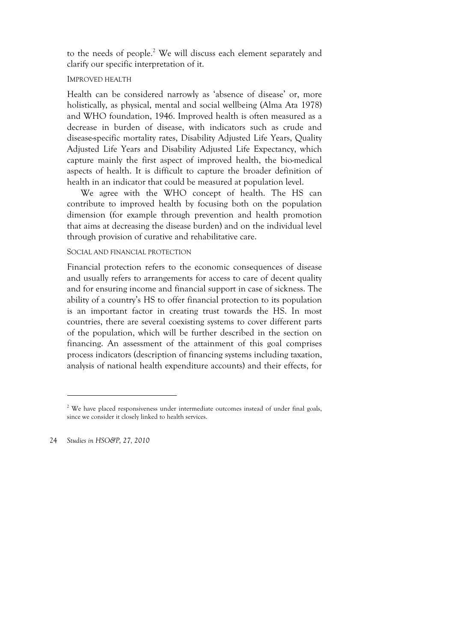to the needs of people.<sup>2</sup> We will discuss each element separately and clarify our specific interpretation of it.

#### IMPROVED HEALTH

Health can be considered narrowly as 'absence of disease' or, more holistically, as physical, mental and social wellbeing (Alma Ata 1978) and WHO foundation, 1946. Improved health is often measured as a decrease in burden of disease, with indicators such as crude and disease-specific mortality rates, Disability Adjusted Life Years, Quality Adjusted Life Years and Disability Adjusted Life Expectancy, which capture mainly the first aspect of improved health, the bio-medical aspects of health. It is difficult to capture the broader definition of health in an indicator that could be measured at population level.

We agree with the WHO concept of health. The HS can contribute to improved health by focusing both on the population dimension (for example through prevention and health promotion that aims at decreasing the disease burden) and on the individual level through provision of curative and rehabilitative care.

#### SOCIAL AND FINANCIAL PROTECTION

Financial protection refers to the economic consequences of disease and usually refers to arrangements for access to care of decent quality and for ensuring income and financial support in case of sickness. The ability of a country's HS to offer financial protection to its population is an important factor in creating trust towards the HS. In most countries, there are several coexisting systems to cover different parts of the population, which will be further described in the section on financing. An assessment of the attainment of this goal comprises process indicators (description of financing systems including taxation, analysis of national health expenditure accounts) and their effects, for

24 *Studies in HSO&P, 27, 2010* 

 $\overline{a}$ 

<sup>&</sup>lt;sup>2</sup> We have placed responsiveness under intermediate outcomes instead of under final goals, since we consider it closely linked to health services.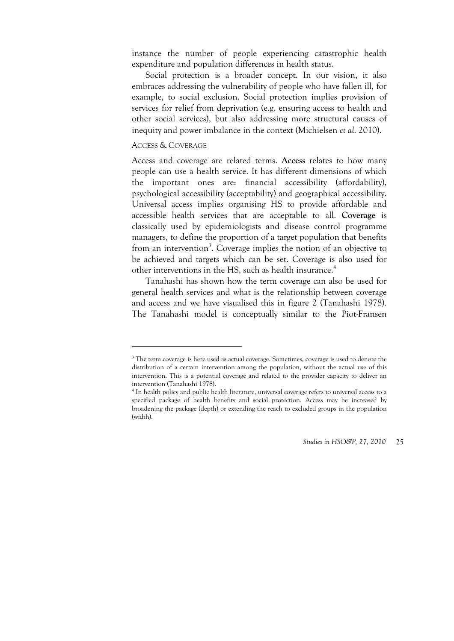instance the number of people experiencing catastrophic health expenditure and population differences in health status.

Social protection is a broader concept. In our vision, it also embraces addressing the vulnerability of people who have fallen ill, for example, to social exclusion. Social protection implies provision of services for relief from deprivation (e.g. ensuring access to health and other social services), but also addressing more structural causes of inequity and power imbalance in the context (Michielsen *et al*. 2010).

#### ACCESS & COVERAGE

1

Access and coverage are related terms. **Access** relates to how many people can use a health service. It has different dimensions of which the important ones are: financial accessibility (affordability), psychological accessibility (acceptability) and geographical accessibility. Universal access implies organising HS to provide affordable and accessible health services that are acceptable to all. **Coverage** is classically used by epidemiologists and disease control programme managers, to define the proportion of a target population that benefits from an intervention<sup>3</sup>. Coverage implies the notion of an objective to be achieved and targets which can be set. Coverage is also used for other interventions in the HS, such as health insurance.<sup>4</sup>

Tanahashi has shown how the term coverage can also be used for general health services and what is the relationship between coverage and access and we have visualised this in figure 2 (Tanahashi 1978). The Tanahashi model is conceptually similar to the Piot-Fransen

<sup>&</sup>lt;sup>3</sup> The term coverage is here used as actual coverage. Sometimes, coverage is used to denote the distribution of a certain intervention among the population, without the actual use of this intervention. This is a potential coverage and related to the provider capacity to deliver an intervention (Tanahashi 1978).

<sup>&</sup>lt;sup>4</sup> In health policy and public health literature, universal coverage refers to universal access to a specified package of health benefits and social protection. Access may be increased by broadening the package (depth) or extending the reach to excluded groups in the population (width).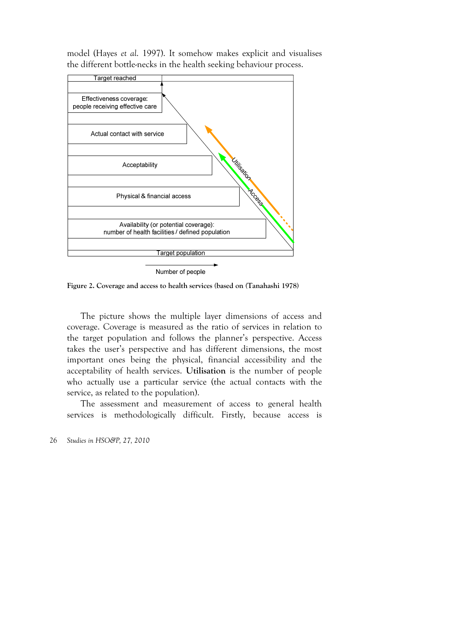model (Hayes *et al*. 1997). It somehow makes explicit and visualises the different bottle-necks in the health seeking behaviour process.



Number of people

**Figure 2. Coverage and access to health services (based on (Tanahashi 1978)** 

The picture shows the multiple layer dimensions of access and coverage. Coverage is measured as the ratio of services in relation to the target population and follows the planner's perspective. Access takes the user's perspective and has different dimensions, the most important ones being the physical, financial accessibility and the acceptability of health services. **Utilisation** is the number of people who actually use a particular service (the actual contacts with the service, as related to the population).

The assessment and measurement of access to general health services is methodologically difficult. Firstly, because access is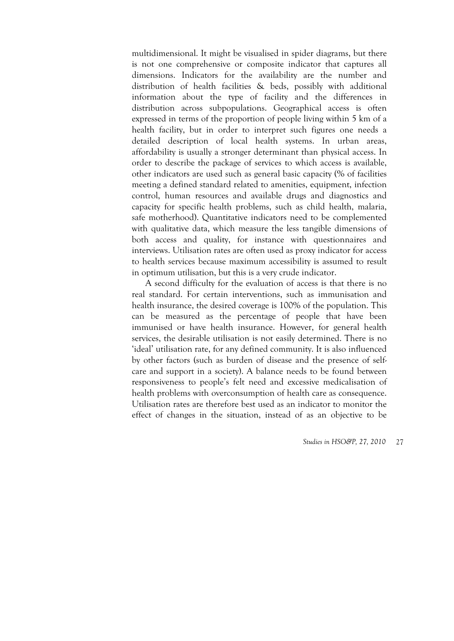multidimensional. It might be visualised in spider diagrams, but there is not one comprehensive or composite indicator that captures all dimensions. Indicators for the availability are the number and distribution of health facilities & beds, possibly with additional information about the type of facility and the differences in distribution across subpopulations. Geographical access is often expressed in terms of the proportion of people living within 5 km of a health facility, but in order to interpret such figures one needs a detailed description of local health systems. In urban areas, affordability is usually a stronger determinant than physical access. In order to describe the package of services to which access is available, other indicators are used such as general basic capacity (% of facilities meeting a defined standard related to amenities, equipment, infection control, human resources and available drugs and diagnostics and capacity for specific health problems, such as child health, malaria, safe motherhood). Quantitative indicators need to be complemented with qualitative data, which measure the less tangible dimensions of both access and quality, for instance with questionnaires and interviews. Utilisation rates are often used as proxy indicator for access to health services because maximum accessibility is assumed to result in optimum utilisation, but this is a very crude indicator.

A second difficulty for the evaluation of access is that there is no real standard. For certain interventions, such as immunisation and health insurance, the desired coverage is 100% of the population. This can be measured as the percentage of people that have been immunised or have health insurance. However, for general health services, the desirable utilisation is not easily determined. There is no 'ideal' utilisation rate, for any defined community. It is also influenced by other factors (such as burden of disease and the presence of selfcare and support in a society). A balance needs to be found between responsiveness to people's felt need and excessive medicalisation of health problems with overconsumption of health care as consequence. Utilisation rates are therefore best used as an indicator to monitor the effect of changes in the situation, instead of as an objective to be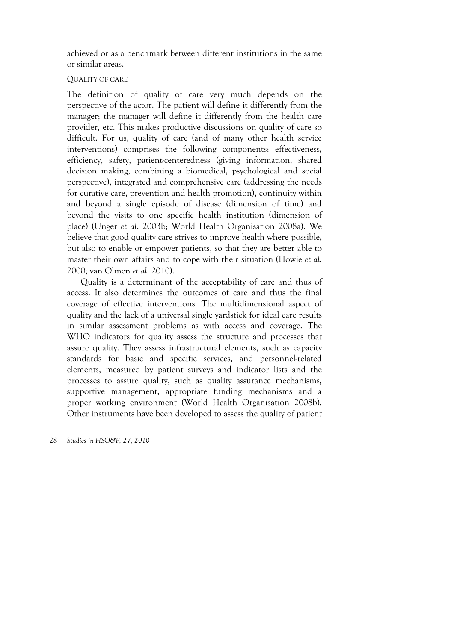achieved or as a benchmark between different institutions in the same or similar areas.

#### QUALITY OF CARE

The definition of quality of care very much depends on the perspective of the actor. The patient will define it differently from the manager; the manager will define it differently from the health care provider, etc. This makes productive discussions on quality of care so difficult. For us, quality of care (and of many other health service interventions) comprises the following components: effectiveness, efficiency, safety, patient-centeredness (giving information, shared decision making, combining a biomedical, psychological and social perspective), integrated and comprehensive care (addressing the needs for curative care, prevention and health promotion), continuity within and beyond a single episode of disease (dimension of time) and beyond the visits to one specific health institution (dimension of place) (Unger *et al*. 2003b; World Health Organisation 2008a). We believe that good quality care strives to improve health where possible, but also to enable or empower patients, so that they are better able to master their own affairs and to cope with their situation (Howie *et al*. 2000; van Olmen *et al*. 2010).

Quality is a determinant of the acceptability of care and thus of access. It also determines the outcomes of care and thus the final coverage of effective interventions. The multidimensional aspect of quality and the lack of a universal single yardstick for ideal care results in similar assessment problems as with access and coverage. The WHO indicators for quality assess the structure and processes that assure quality. They assess infrastructural elements, such as capacity standards for basic and specific services, and personnel-related elements, measured by patient surveys and indicator lists and the processes to assure quality, such as quality assurance mechanisms, supportive management, appropriate funding mechanisms and a proper working environment (World Health Organisation 2008b). Other instruments have been developed to assess the quality of patient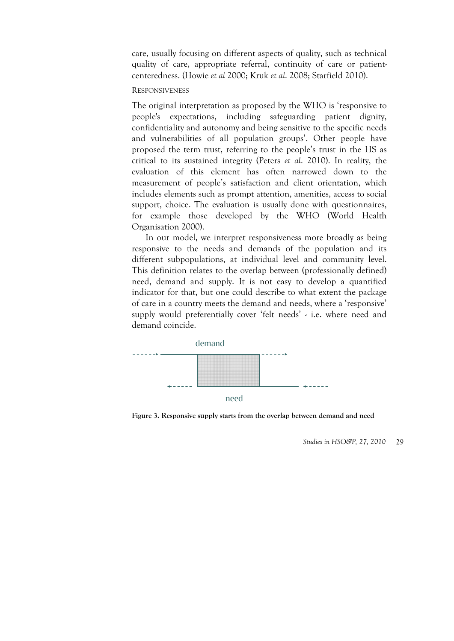care, usually focusing on different aspects of quality, such as technical quality of care, appropriate referral, continuity of care or patientcenteredness. (Howie *et al* 2000; Kruk *et al*. 2008; Starfield 2010).

#### **RESPONSIVENESS**

The original interpretation as proposed by the WHO is 'responsive to people's expectations, including safeguarding patient dignity, confidentiality and autonomy and being sensitive to the specific needs and vulnerabilities of all population groups'. Other people have proposed the term trust, referring to the people's trust in the HS as critical to its sustained integrity (Peters *et al*. 2010). In reality, the evaluation of this element has often narrowed down to the measurement of people's satisfaction and client orientation, which includes elements such as prompt attention, amenities, access to social support, choice. The evaluation is usually done with questionnaires, for example those developed by the WHO (World Health Organisation 2000).

In our model, we interpret responsiveness more broadly as being responsive to the needs and demands of the population and its different subpopulations, at individual level and community level. This definition relates to the overlap between (professionally defined) need, demand and supply. It is not easy to develop a quantified indicator for that, but one could describe to what extent the package of care in a country meets the demand and needs, where a 'responsive' supply would preferentially cover 'felt needs' - i.e. where need and demand coincide.



**Figure 3. Responsive supply starts from the overlap between demand and need**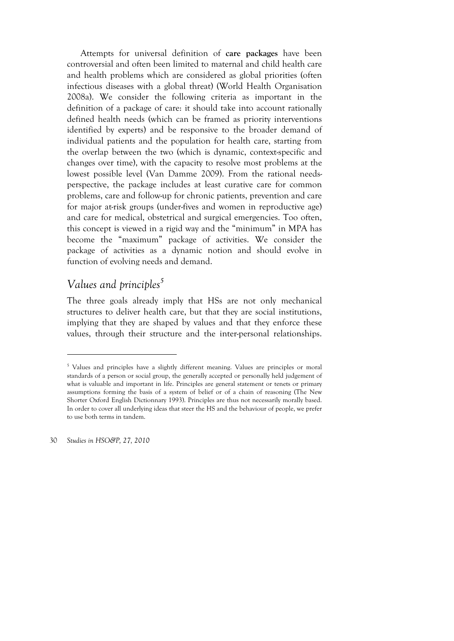Attempts for universal definition of **care packages** have been controversial and often been limited to maternal and child health care and health problems which are considered as global priorities (often infectious diseases with a global threat) (World Health Organisation 2008a). We consider the following criteria as important in the definition of a package of care: it should take into account rationally defined health needs (which can be framed as priority interventions identified by experts) and be responsive to the broader demand of individual patients and the population for health care, starting from the overlap between the two (which is dynamic, context-specific and changes over time), with the capacity to resolve most problems at the lowest possible level (Van Damme 2009). From the rational needsperspective, the package includes at least curative care for common problems, care and follow-up for chronic patients, prevention and care for major at-risk groups (under-fives and women in reproductive age) and care for medical, obstetrical and surgical emergencies. Too often, this concept is viewed in a rigid way and the "minimum" in MPA has become the "maximum" package of activities. We consider the package of activities as a dynamic notion and should evolve in function of evolving needs and demand.

# Values and principles<sup>5</sup>

The three goals already imply that HSs are not only mechanical structures to deliver health care, but that they are social institutions, implying that they are shaped by values and that they enforce these values, through their structure and the inter-personal relationships.

30 *Studies in HSO&P, 27, 2010* 

 $\overline{a}$ 

<sup>&</sup>lt;sup>5</sup> Values and principles have a slightly different meaning. Values are principles or moral standards of a person or social group, the generally accepted or personally held judgement of what is valuable and important in life. Principles are general statement or tenets or primary assumptions forming the basis of a system of belief or of a chain of reasoning (The New Shorter Oxford English Dictionnary 1993). Principles are thus not necessarily morally based. In order to cover all underlying ideas that steer the HS and the behaviour of people, we prefer to use both terms in tandem.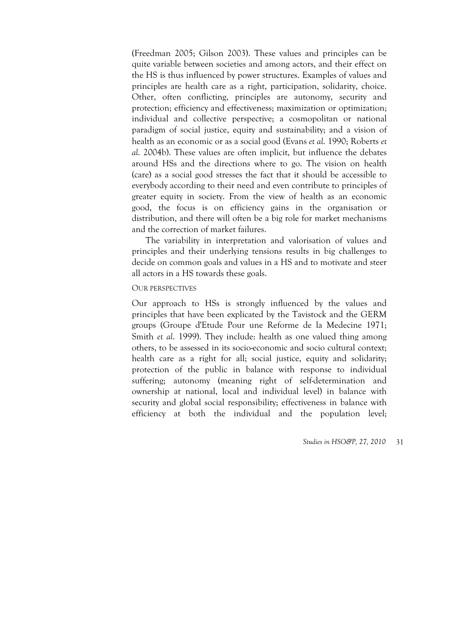(Freedman 2005; Gilson 2003). These values and principles can be quite variable between societies and among actors, and their effect on the HS is thus influenced by power structures. Examples of values and principles are health care as a right, participation, solidarity, choice. Other, often conflicting, principles are autonomy, security and protection; efficiency and effectiveness; maximization or optimization; individual and collective perspective; a cosmopolitan or national paradigm of social justice, equity and sustainability; and a vision of health as an economic or as a social good (Evans *et al*. 1990; Roberts *et al*. 2004b). These values are often implicit, but influence the debates around HSs and the directions where to go. The vision on health (care) as a social good stresses the fact that it should be accessible to everybody according to their need and even contribute to principles of greater equity in society. From the view of health as an economic good, the focus is on efficiency gains in the organisation or distribution, and there will often be a big role for market mechanisms and the correction of market failures.

The variability in interpretation and valorisation of values and principles and their underlying tensions results in big challenges to decide on common goals and values in a HS and to motivate and steer all actors in a HS towards these goals.

#### OUR PERSPECTIVES

Our approach to HSs is strongly influenced by the values and principles that have been explicated by the Tavistock and the GERM groups (Groupe d'Etude Pour une Reforme de la Medecine 1971; Smith *et al*. 1999). They include: health as one valued thing among others, to be assessed in its socio-economic and socio cultural context; health care as a right for all; social justice, equity and solidarity; protection of the public in balance with response to individual suffering; autonomy (meaning right of self-determination and ownership at national, local and individual level) in balance with security and global social responsibility; effectiveness in balance with efficiency at both the individual and the population level;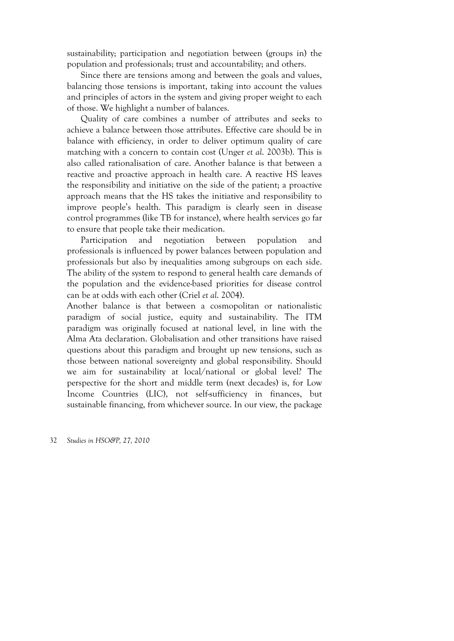sustainability; participation and negotiation between (groups in) the population and professionals; trust and accountability; and others.

Since there are tensions among and between the goals and values, balancing those tensions is important, taking into account the values and principles of actors in the system and giving proper weight to each of those. We highlight a number of balances.

Quality of care combines a number of attributes and seeks to achieve a balance between those attributes. Effective care should be in balance with efficiency, in order to deliver optimum quality of care matching with a concern to contain cost (Unger *et al*. 2003b). This is also called rationalisation of care. Another balance is that between a reactive and proactive approach in health care. A reactive HS leaves the responsibility and initiative on the side of the patient; a proactive approach means that the HS takes the initiative and responsibility to improve people's health. This paradigm is clearly seen in disease control programmes (like TB for instance), where health services go far to ensure that people take their medication.

Participation and negotiation between population and professionals is influenced by power balances between population and professionals but also by inequalities among subgroups on each side. The ability of the system to respond to general health care demands of the population and the evidence-based priorities for disease control can be at odds with each other (Criel *et al*. 2004).

Another balance is that between a cosmopolitan or nationalistic paradigm of social justice, equity and sustainability. The ITM paradigm was originally focused at national level, in line with the Alma Ata declaration. Globalisation and other transitions have raised questions about this paradigm and brought up new tensions, such as those between national sovereignty and global responsibility. Should we aim for sustainability at local/national or global level? The perspective for the short and middle term (next decades) is, for Low Income Countries (LIC), not self-sufficiency in finances, but sustainable financing, from whichever source. In our view, the package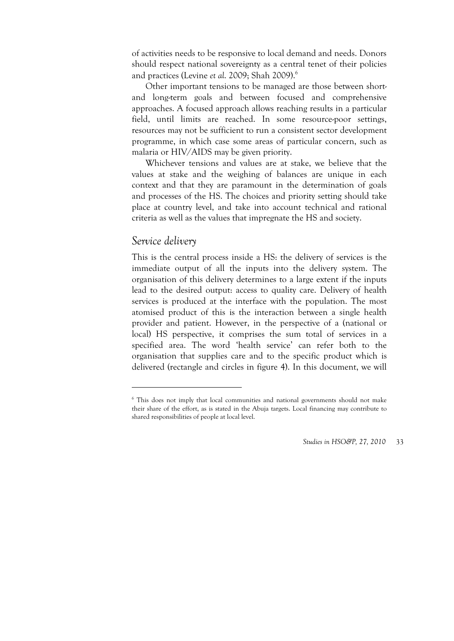of activities needs to be responsive to local demand and needs. Donors should respect national sovereignty as a central tenet of their policies and practices (Levine *et al*. 2009; Shah 2009).6

Other important tensions to be managed are those between shortand long-term goals and between focused and comprehensive approaches. A focused approach allows reaching results in a particular field, until limits are reached. In some resource-poor settings, resources may not be sufficient to run a consistent sector development programme, in which case some areas of particular concern, such as malaria or HIV/AIDS may be given priority.

Whichever tensions and values are at stake, we believe that the values at stake and the weighing of balances are unique in each context and that they are paramount in the determination of goals and processes of the HS. The choices and priority setting should take place at country level, and take into account technical and rational criteria as well as the values that impregnate the HS and society.

### *Service delivery*

1

This is the central process inside a HS: the delivery of services is the immediate output of all the inputs into the delivery system. The organisation of this delivery determines to a large extent if the inputs lead to the desired output: access to quality care. Delivery of health services is produced at the interface with the population. The most atomised product of this is the interaction between a single health provider and patient. However, in the perspective of a (national or local) HS perspective, it comprises the sum total of services in a specified area. The word 'health service' can refer both to the organisation that supplies care and to the specific product which is delivered (rectangle and circles in figure 4). In this document, we will

<sup>&</sup>lt;sup>6</sup> This does not imply that local communities and national governments should not make their share of the effort, as is stated in the Abuja targets. Local financing may contribute to shared responsibilities of people at local level.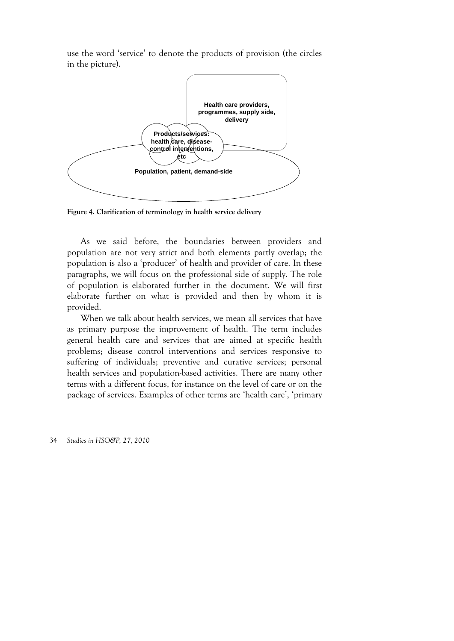use the word 'service' to denote the products of provision (the circles in the picture).



**Figure 4. Clarification of terminology in health service delivery** 

As we said before, the boundaries between providers and population are not very strict and both elements partly overlap; the population is also a 'producer' of health and provider of care. In these paragraphs, we will focus on the professional side of supply. The role of population is elaborated further in the document. We will first elaborate further on what is provided and then by whom it is provided.

When we talk about health services, we mean all services that have as primary purpose the improvement of health. The term includes general health care and services that are aimed at specific health problems; disease control interventions and services responsive to suffering of individuals; preventive and curative services; personal health services and population-based activities. There are many other terms with a different focus, for instance on the level of care or on the package of services. Examples of other terms are 'health care', 'primary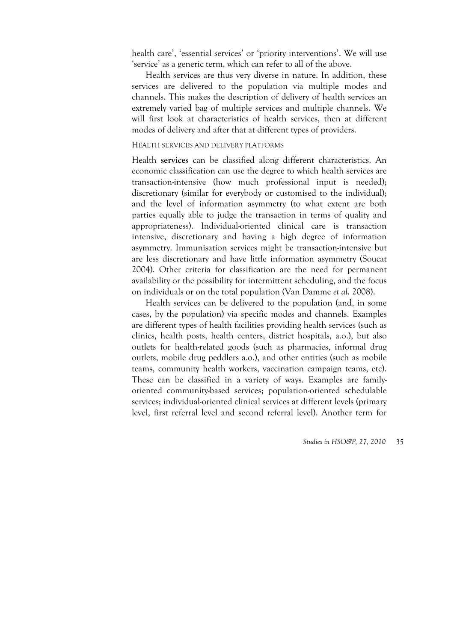health care', 'essential services' or 'priority interventions'. We will use 'service' as a generic term, which can refer to all of the above.

Health services are thus very diverse in nature. In addition, these services are delivered to the population via multiple modes and channels. This makes the description of delivery of health services an extremely varied bag of multiple services and multiple channels. We will first look at characteristics of health services, then at different modes of delivery and after that at different types of providers.

### HEALTH SERVICES AND DELIVERY PLATFORMS

Health **services** can be classified along different characteristics. An economic classification can use the degree to which health services are transaction-intensive (how much professional input is needed); discretionary (similar for everybody or customised to the individual); and the level of information asymmetry (to what extent are both parties equally able to judge the transaction in terms of quality and appropriateness). Individual-oriented clinical care is transaction intensive, discretionary and having a high degree of information asymmetry. Immunisation services might be transaction-intensive but are less discretionary and have little information asymmetry (Soucat 2004). Other criteria for classification are the need for permanent availability or the possibility for intermittent scheduling, and the focus on individuals or on the total population (Van Damme *et al*. 2008).

Health services can be delivered to the population (and, in some cases, by the population) via specific modes and channels. Examples are different types of health facilities providing health services (such as clinics, health posts, health centers, district hospitals, a.o.), but also outlets for health-related goods (such as pharmacies, informal drug outlets, mobile drug peddlers a.o.), and other entities (such as mobile teams, community health workers, vaccination campaign teams, etc). These can be classified in a variety of ways. Examples are familyoriented community-based services; population-oriented schedulable services; individual-oriented clinical services at different levels (primary level, first referral level and second referral level). Another term for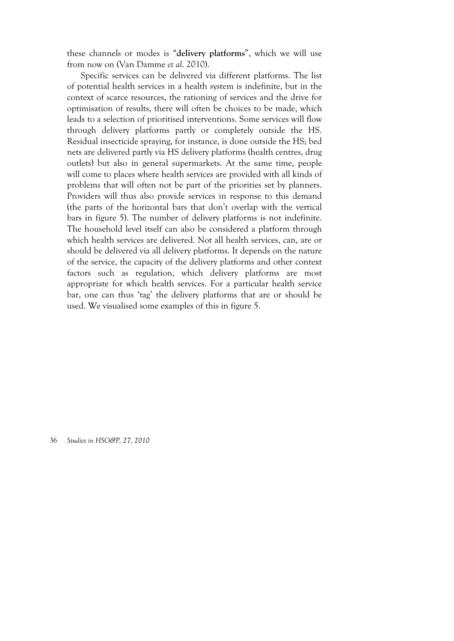these channels or modes is "**delivery platforms**", which we will use from now on (Van Damme *et al*. 2010).

Specific services can be delivered via different platforms. The list of potential health services in a health system is indefinite, but in the context of scarce resources, the rationing of services and the drive for optimisation of results, there will often be choices to be made, which leads to a selection of prioritised interventions. Some services will flow through delivery platforms partly or completely outside the HS. Residual insecticide spraying, for instance, is done outside the HS; bed nets are delivered partly via HS delivery platforms (health centres, drug outlets) but also in general supermarkets. At the same time, people will come to places where health services are provided with all kinds of problems that will often not be part of the priorities set by planners. Providers will thus also provide services in response to this demand (the parts of the horizontal bars that don't overlap with the vertical bars in figure 5). The number of delivery platforms is not indefinite. The household level itself can also be considered a platform through which health services are delivered. Not all health services, can, are or should be delivered via all delivery platforms. It depends on the nature of the service, the capacity of the delivery platforms and other context factors such as regulation, which delivery platforms are most appropriate for which health services. For a particular health service bar, one can thus 'tag' the delivery platforms that are or should be used. We visualised some examples of this in figure 5.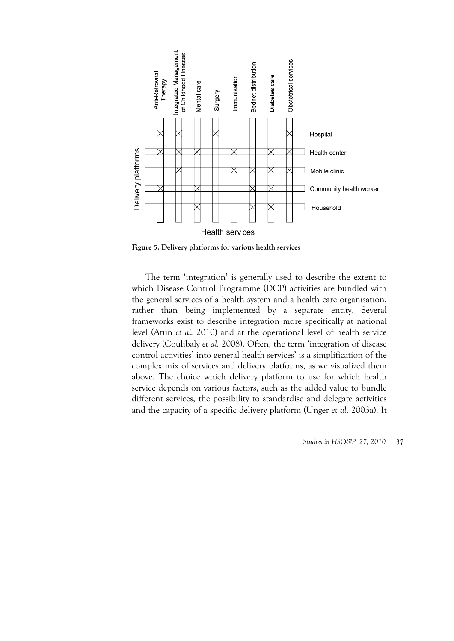

**Figure 5. Delivery platforms for various health services** 

The term 'integration' is generally used to describe the extent to which Disease Control Programme (DCP) activities are bundled with the general services of a health system and a health care organisation, rather than being implemented by a separate entity. Several frameworks exist to describe integration more specifically at national level (Atun *et al.* 2010) and at the operational level of health service delivery (Coulibaly *et al.* 2008). Often, the term 'integration of disease control activities' into general health services' is a simplification of the complex mix of services and delivery platforms, as we visualized them above. The choice which delivery platform to use for which health service depends on various factors, such as the added value to bundle different services, the possibility to standardise and delegate activities and the capacity of a specific delivery platform (Unger *et al*. 2003a). It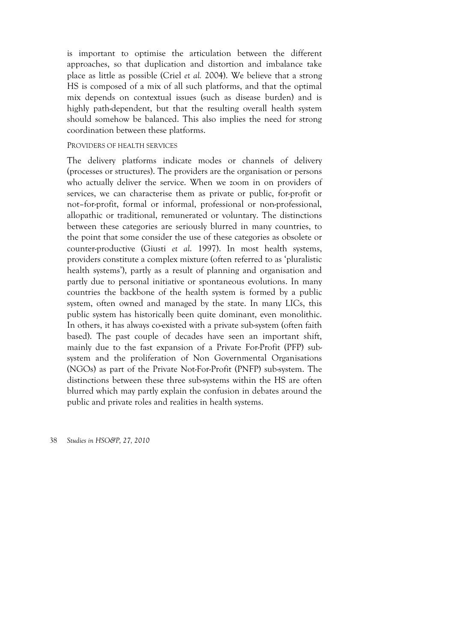is important to optimise the articulation between the different approaches, so that duplication and distortion and imbalance take place as little as possible (Criel *et al.* 2004). We believe that a strong HS is composed of a mix of all such platforms, and that the optimal mix depends on contextual issues (such as disease burden) and is highly path-dependent, but that the resulting overall health system should somehow be balanced. This also implies the need for strong coordination between these platforms.

#### PROVIDERS OF HEALTH SERVICES

The delivery platforms indicate modes or channels of delivery (processes or structures). The providers are the organisation or persons who actually deliver the service. When we zoom in on providers of services, we can characterise them as private or public, for-profit or not–for-profit, formal or informal, professional or non-professional, allopathic or traditional, remunerated or voluntary. The distinctions between these categories are seriously blurred in many countries, to the point that some consider the use of these categories as obsolete or counter-productive (Giusti *et al*. 1997). In most health systems, providers constitute a complex mixture (often referred to as 'pluralistic health systems'), partly as a result of planning and organisation and partly due to personal initiative or spontaneous evolutions. In many countries the backbone of the health system is formed by a public system, often owned and managed by the state. In many LICs, this public system has historically been quite dominant, even monolithic. In others, it has always co-existed with a private sub-system (often faith based). The past couple of decades have seen an important shift, mainly due to the fast expansion of a Private For-Profit (PFP) subsystem and the proliferation of Non Governmental Organisations (NGOs) as part of the Private Not-For-Profit (PNFP) sub-system. The distinctions between these three sub-systems within the HS are often blurred which may partly explain the confusion in debates around the public and private roles and realities in health systems.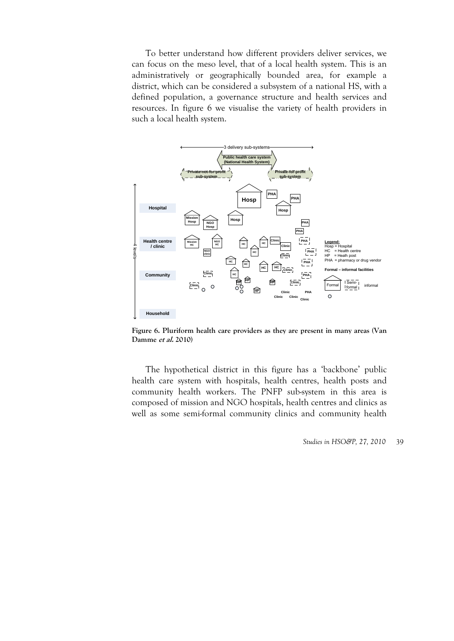To better understand how different providers deliver services, we can focus on the meso level, that of a local health system. This is an administratively or geographically bounded area, for example a district, which can be considered a subsystem of a national HS, with a defined population, a governance structure and health services and resources. In figure 6 we visualise the variety of health providers in such a local health system.



**Figure 6. Pluriform health care providers as they are present in many areas (Van Damme et al. 2010)** 

The hypothetical district in this figure has a 'backbone' public health care system with hospitals, health centres, health posts and community health workers. The PNFP sub-system in this area is composed of mission and NGO hospitals, health centres and clinics as well as some semi-formal community clinics and community health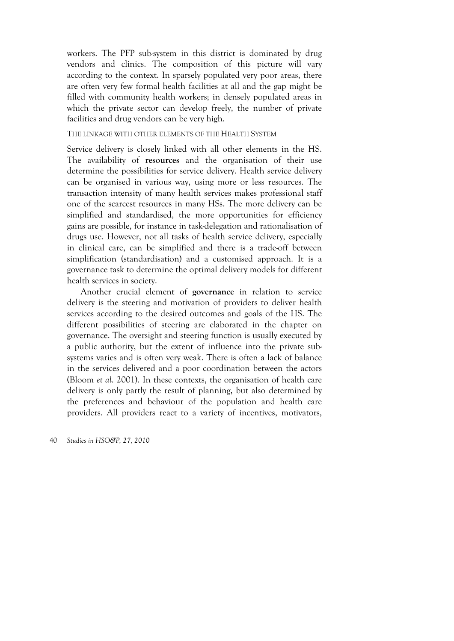workers. The PFP sub-system in this district is dominated by drug vendors and clinics. The composition of this picture will vary according to the context. In sparsely populated very poor areas, there are often very few formal health facilities at all and the gap might be filled with community health workers; in densely populated areas in which the private sector can develop freely, the number of private facilities and drug vendors can be very high.

### THE LINKAGE WITH OTHER ELEMENTS OF THE HEALTH SYSTEM

Service delivery is closely linked with all other elements in the HS. The availability of **resources** and the organisation of their use determine the possibilities for service delivery. Health service delivery can be organised in various way, using more or less resources. The transaction intensity of many health services makes professional staff one of the scarcest resources in many HSs. The more delivery can be simplified and standardised, the more opportunities for efficiency gains are possible, for instance in task-delegation and rationalisation of drugs use. However, not all tasks of health service delivery, especially in clinical care, can be simplified and there is a trade-off between simplification (standardisation) and a customised approach. It is a governance task to determine the optimal delivery models for different health services in society.

Another crucial element of **governance** in relation to service delivery is the steering and motivation of providers to deliver health services according to the desired outcomes and goals of the HS. The different possibilities of steering are elaborated in the chapter on governance. The oversight and steering function is usually executed by a public authority, but the extent of influence into the private subsystems varies and is often very weak. There is often a lack of balance in the services delivered and a poor coordination between the actors (Bloom *et al*. 2001). In these contexts, the organisation of health care delivery is only partly the result of planning, but also determined by the preferences and behaviour of the population and health care providers. All providers react to a variety of incentives, motivators,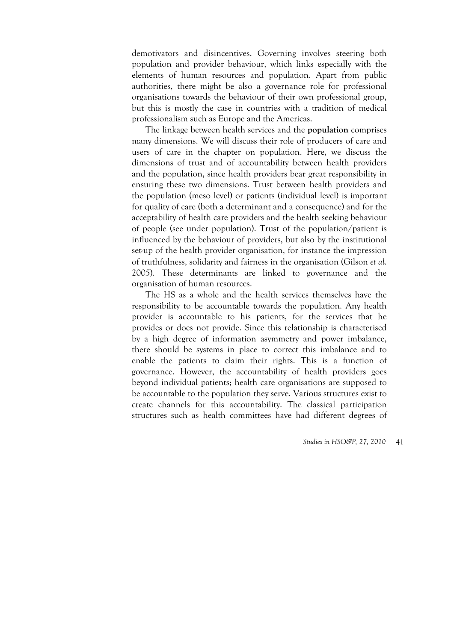demotivators and disincentives. Governing involves steering both population and provider behaviour, which links especially with the elements of human resources and population. Apart from public authorities, there might be also a governance role for professional organisations towards the behaviour of their own professional group, but this is mostly the case in countries with a tradition of medical professionalism such as Europe and the Americas.

The linkage between health services and the **population** comprises many dimensions. We will discuss their role of producers of care and users of care in the chapter on population. Here, we discuss the dimensions of trust and of accountability between health providers and the population, since health providers bear great responsibility in ensuring these two dimensions. Trust between health providers and the population (meso level) or patients (individual level) is important for quality of care (both a determinant and a consequence) and for the acceptability of health care providers and the health seeking behaviour of people (see under population). Trust of the population/patient is influenced by the behaviour of providers, but also by the institutional set-up of the health provider organisation, for instance the impression of truthfulness, solidarity and fairness in the organisation (Gilson *et al*. 2005). These determinants are linked to governance and the organisation of human resources.

The HS as a whole and the health services themselves have the responsibility to be accountable towards the population. Any health provider is accountable to his patients, for the services that he provides or does not provide. Since this relationship is characterised by a high degree of information asymmetry and power imbalance, there should be systems in place to correct this imbalance and to enable the patients to claim their rights. This is a function of governance. However, the accountability of health providers goes beyond individual patients; health care organisations are supposed to be accountable to the population they serve. Various structures exist to create channels for this accountability. The classical participation structures such as health committees have had different degrees of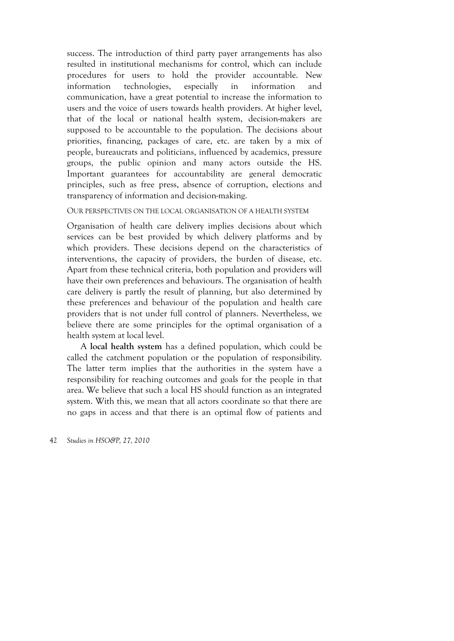success. The introduction of third party payer arrangements has also resulted in institutional mechanisms for control, which can include procedures for users to hold the provider accountable. New information technologies, especially in information and communication, have a great potential to increase the information to users and the voice of users towards health providers. At higher level, that of the local or national health system, decision-makers are supposed to be accountable to the population. The decisions about priorities, financing, packages of care, etc. are taken by a mix of people, bureaucrats and politicians, influenced by academics, pressure groups, the public opinion and many actors outside the HS. Important guarantees for accountability are general democratic principles, such as free press, absence of corruption, elections and transparency of information and decision-making.

#### OUR PERSPECTIVES ON THE LOCAL ORGANISATION OF A HEALTH SYSTEM

Organisation of health care delivery implies decisions about which services can be best provided by which delivery platforms and by which providers. These decisions depend on the characteristics of interventions, the capacity of providers, the burden of disease, etc. Apart from these technical criteria, both population and providers will have their own preferences and behaviours. The organisation of health care delivery is partly the result of planning, but also determined by these preferences and behaviour of the population and health care providers that is not under full control of planners. Nevertheless, we believe there are some principles for the optimal organisation of a health system at local level.

A **local health system** has a defined population, which could be called the catchment population or the population of responsibility. The latter term implies that the authorities in the system have a responsibility for reaching outcomes and goals for the people in that area. We believe that such a local HS should function as an integrated system. With this, we mean that all actors coordinate so that there are no gaps in access and that there is an optimal flow of patients and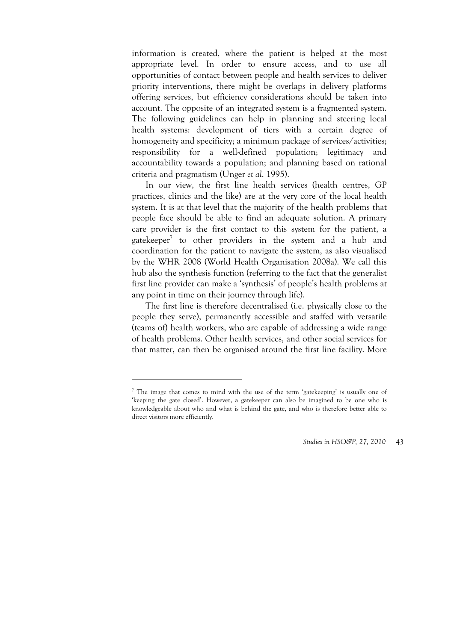information is created, where the patient is helped at the most appropriate level. In order to ensure access, and to use all opportunities of contact between people and health services to deliver priority interventions, there might be overlaps in delivery platforms offering services, but efficiency considerations should be taken into account. The opposite of an integrated system is a fragmented system. The following guidelines can help in planning and steering local health systems: development of tiers with a certain degree of homogeneity and specificity; a minimum package of services/activities; responsibility for a well-defined population; legitimacy and accountability towards a population; and planning based on rational criteria and pragmatism (Unger *et al*. 1995).

In our view, the first line health services (health centres, GP practices, clinics and the like) are at the very core of the local health system. It is at that level that the majority of the health problems that people face should be able to find an adequate solution. A primary care provider is the first contact to this system for the patient, a gatekeeper<sup>7</sup> to other providers in the system and a hub and coordination for the patient to navigate the system, as also visualised by the WHR 2008 (World Health Organisation 2008a). We call this hub also the synthesis function (referring to the fact that the generalist first line provider can make a 'synthesis' of people's health problems at any point in time on their journey through life).

The first line is therefore decentralised (i.e. physically close to the people they serve), permanently accessible and staffed with versatile (teams of) health workers, who are capable of addressing a wide range of health problems. Other health services, and other social services for that matter, can then be organised around the first line facility. More

<u>.</u>

<sup>&</sup>lt;sup>7</sup> The image that comes to mind with the use of the term 'gatekeeping' is usually one of 'keeping the gate closed'. However, a gatekeeper can also be imagined to be one who is knowledgeable about who and what is behind the gate, and who is therefore better able to direct visitors more efficiently.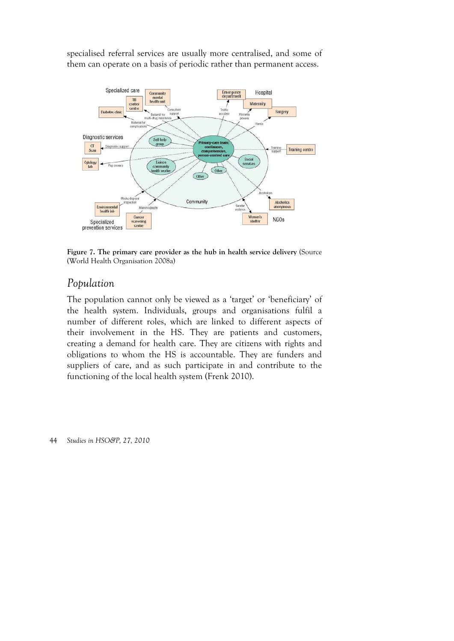specialised referral services are usually more centralised, and some of them can operate on a basis of periodic rather than permanent access.



**Figure 7. The primary care provider as the hub in health service delivery** (Source (World Health Organisation 2008a)

# *Population*

The population cannot only be viewed as a 'target' or 'beneficiary' of the health system. Individuals, groups and organisations fulfil a number of different roles, which are linked to different aspects of their involvement in the HS. They are patients and customers, creating a demand for health care. They are citizens with rights and obligations to whom the HS is accountable. They are funders and suppliers of care, and as such participate in and contribute to the functioning of the local health system (Frenk 2010).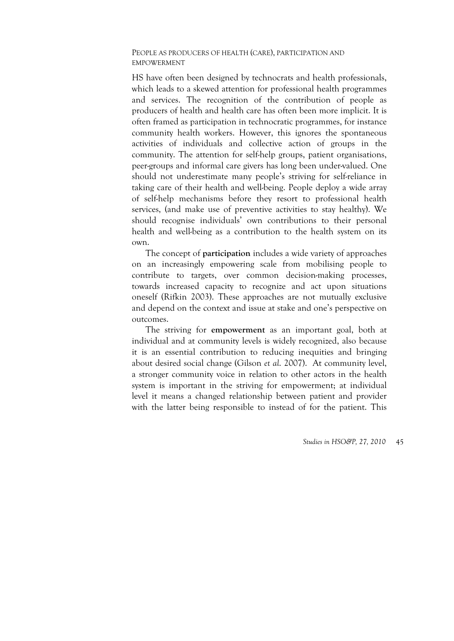### PEOPLE AS PRODUCERS OF HEALTH (CARE), PARTICIPATION AND EMPOWERMENT

HS have often been designed by technocrats and health professionals, which leads to a skewed attention for professional health programmes and services. The recognition of the contribution of people as producers of health and health care has often been more implicit. It is often framed as participation in technocratic programmes, for instance community health workers. However, this ignores the spontaneous activities of individuals and collective action of groups in the community. The attention for self-help groups, patient organisations, peer-groups and informal care givers has long been under-valued. One should not underestimate many people's striving for self-reliance in taking care of their health and well-being. People deploy a wide array of self-help mechanisms before they resort to professional health services, (and make use of preventive activities to stay healthy). We should recognise individuals' own contributions to their personal health and well-being as a contribution to the health system on its own.

The concept of **participation** includes a wide variety of approaches on an increasingly empowering scale from mobilising people to contribute to targets, over common decision-making processes, towards increased capacity to recognize and act upon situations oneself (Rifkin 2003). These approaches are not mutually exclusive and depend on the context and issue at stake and one's perspective on outcomes.

The striving for **empowerment** as an important goal, both at individual and at community levels is widely recognized, also because it is an essential contribution to reducing inequities and bringing about desired social change (Gilson *et al*. 2007). At community level, a stronger community voice in relation to other actors in the health system is important in the striving for empowerment; at individual level it means a changed relationship between patient and provider with the latter being responsible to instead of for the patient. This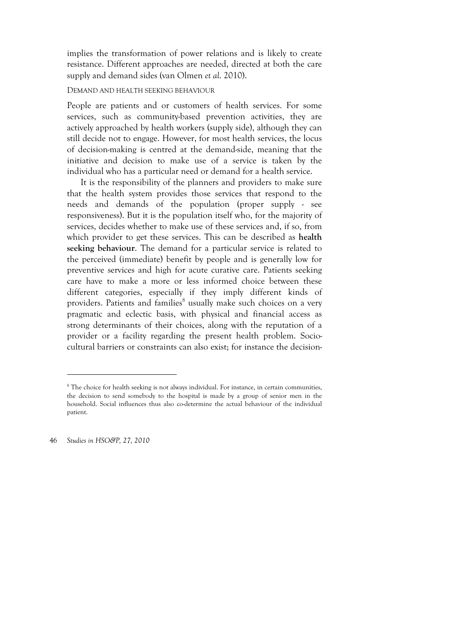implies the transformation of power relations and is likely to create resistance. Different approaches are needed, directed at both the care supply and demand sides (van Olmen *et al*. 2010).

### DEMAND AND HEALTH SEEKING BEHAVIOUR

People are patients and or customers of health services. For some services, such as community-based prevention activities, they are actively approached by health workers (supply side), although they can still decide not to engage. However, for most health services, the locus of decision-making is centred at the demand-side, meaning that the initiative and decision to make use of a service is taken by the individual who has a particular need or demand for a health service.

It is the responsibility of the planners and providers to make sure that the health system provides those services that respond to the needs and demands of the population (proper supply - see responsiveness). But it is the population itself who, for the majority of services, decides whether to make use of these services and, if so, from which provider to get these services. This can be described as **health seeking behaviour**. The demand for a particular service is related to the perceived (immediate) benefit by people and is generally low for preventive services and high for acute curative care. Patients seeking care have to make a more or less informed choice between these different categories, especially if they imply different kinds of providers. Patients and families<sup>8</sup> usually make such choices on a very pragmatic and eclectic basis, with physical and financial access as strong determinants of their choices, along with the reputation of a provider or a facility regarding the present health problem. Sociocultural barriers or constraints can also exist; for instance the decision-

46 *Studies in HSO&P, 27, 2010* 

 $\overline{a}$ 

<sup>&</sup>lt;sup>8</sup> The choice for health seeking is not always individual. For instance, in certain communities, the decision to send somebody to the hospital is made by a group of senior men in the household. Social influences thus also co-determine the actual behaviour of the individual patient.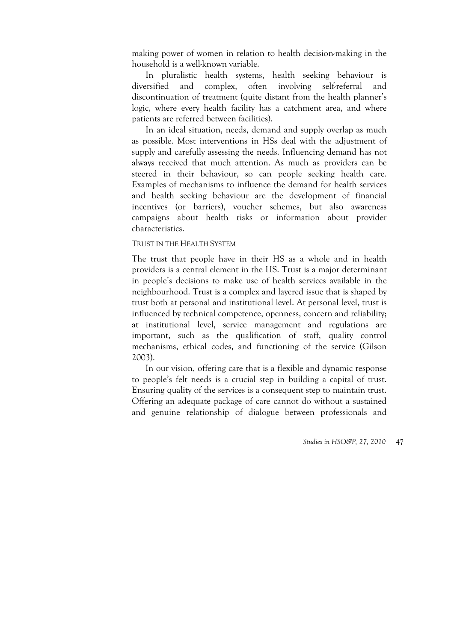making power of women in relation to health decision-making in the household is a well-known variable.

In pluralistic health systems, health seeking behaviour is diversified and complex, often involving self-referral and discontinuation of treatment (quite distant from the health planner's logic, where every health facility has a catchment area, and where patients are referred between facilities).

In an ideal situation, needs, demand and supply overlap as much as possible. Most interventions in HSs deal with the adjustment of supply and carefully assessing the needs. Influencing demand has not always received that much attention. As much as providers can be steered in their behaviour, so can people seeking health care. Examples of mechanisms to influence the demand for health services and health seeking behaviour are the development of financial incentives (or barriers), voucher schemes, but also awareness campaigns about health risks or information about provider characteristics.

#### TRUST IN THE HEALTH SYSTEM

The trust that people have in their HS as a whole and in health providers is a central element in the HS. Trust is a major determinant in people's decisions to make use of health services available in the neighbourhood. Trust is a complex and layered issue that is shaped by trust both at personal and institutional level. At personal level, trust is influenced by technical competence, openness, concern and reliability; at institutional level, service management and regulations are important, such as the qualification of staff, quality control mechanisms, ethical codes, and functioning of the service (Gilson 2003).

In our vision, offering care that is a flexible and dynamic response to people's felt needs is a crucial step in building a capital of trust. Ensuring quality of the services is a consequent step to maintain trust. Offering an adequate package of care cannot do without a sustained and genuine relationship of dialogue between professionals and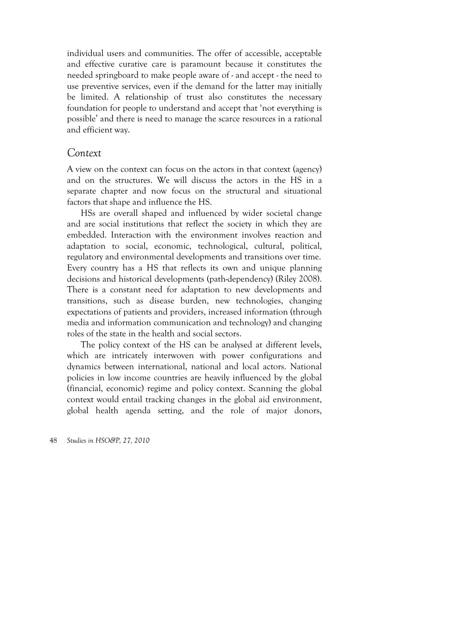individual users and communities. The offer of accessible, acceptable and effective curative care is paramount because it constitutes the needed springboard to make people aware of - and accept - the need to use preventive services, even if the demand for the latter may initially be limited. A relationship of trust also constitutes the necessary foundation for people to understand and accept that 'not everything is possible' and there is need to manage the scarce resources in a rational and efficient way.

### *Context*

A view on the context can focus on the actors in that context (agency) and on the structures. We will discuss the actors in the HS in a separate chapter and now focus on the structural and situational factors that shape and influence the HS.

HSs are overall shaped and influenced by wider societal change and are social institutions that reflect the society in which they are embedded. Interaction with the environment involves reaction and adaptation to social, economic, technological, cultural, political, regulatory and environmental developments and transitions over time. Every country has a HS that reflects its own and unique planning decisions and historical developments (path-dependency) (Riley 2008). There is a constant need for adaptation to new developments and transitions, such as disease burden, new technologies, changing expectations of patients and providers, increased information (through media and information communication and technology) and changing roles of the state in the health and social sectors.

The policy context of the HS can be analysed at different levels, which are intricately interwoven with power configurations and dynamics between international, national and local actors. National policies in low income countries are heavily influenced by the global (financial, economic) regime and policy context. Scanning the global context would entail tracking changes in the global aid environment, global health agenda setting, and the role of major donors,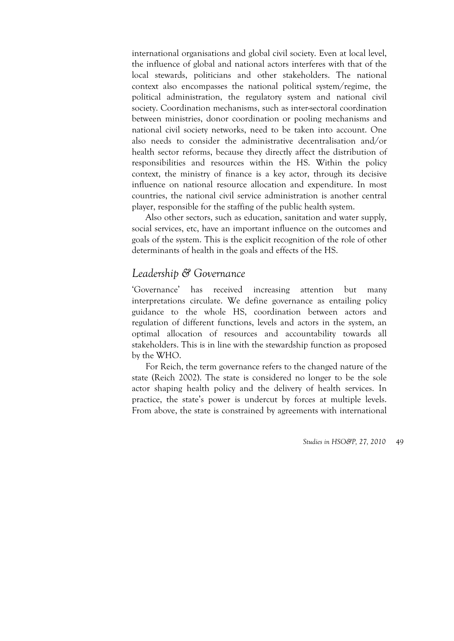international organisations and global civil society. Even at local level, the influence of global and national actors interferes with that of the local stewards, politicians and other stakeholders. The national context also encompasses the national political system/regime, the political administration, the regulatory system and national civil society. Coordination mechanisms, such as inter-sectoral coordination between ministries, donor coordination or pooling mechanisms and national civil society networks, need to be taken into account. One also needs to consider the administrative decentralisation and/or health sector reforms, because they directly affect the distribution of responsibilities and resources within the HS. Within the policy context, the ministry of finance is a key actor, through its decisive influence on national resource allocation and expenditure. In most countries, the national civil service administration is another central player, responsible for the staffing of the public health system.

Also other sectors, such as education, sanitation and water supply, social services, etc, have an important influence on the outcomes and goals of the system. This is the explicit recognition of the role of other determinants of health in the goals and effects of the HS.

# *Leadership & Governance*

'Governance' has received increasing attention but many interpretations circulate. We define governance as entailing policy guidance to the whole HS, coordination between actors and regulation of different functions, levels and actors in the system, an optimal allocation of resources and accountability towards all stakeholders. This is in line with the stewardship function as proposed by the WHO.

For Reich, the term governance refers to the changed nature of the state (Reich 2002). The state is considered no longer to be the sole actor shaping health policy and the delivery of health services. In practice, the state's power is undercut by forces at multiple levels. From above, the state is constrained by agreements with international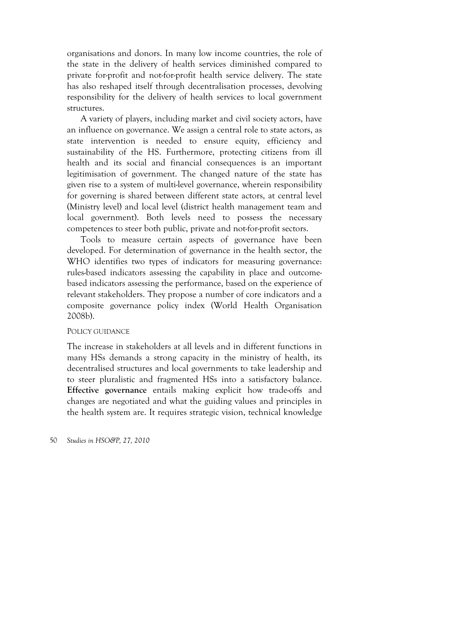organisations and donors. In many low income countries, the role of the state in the delivery of health services diminished compared to private for-profit and not-for-profit health service delivery. The state has also reshaped itself through decentralisation processes, devolving responsibility for the delivery of health services to local government structures.

A variety of players, including market and civil society actors, have an influence on governance. We assign a central role to state actors, as state intervention is needed to ensure equity, efficiency and sustainability of the HS. Furthermore, protecting citizens from ill health and its social and financial consequences is an important legitimisation of government. The changed nature of the state has given rise to a system of multi-level governance, wherein responsibility for governing is shared between different state actors, at central level (Ministry level) and local level (district health management team and local government). Both levels need to possess the necessary competences to steer both public, private and not-for-profit sectors.

Tools to measure certain aspects of governance have been developed. For determination of governance in the health sector, the WHO identifies two types of indicators for measuring governance: rules-based indicators assessing the capability in place and outcomebased indicators assessing the performance, based on the experience of relevant stakeholders. They propose a number of core indicators and a composite governance policy index (World Health Organisation 2008b).

#### POLICY GUIDANCE

The increase in stakeholders at all levels and in different functions in many HSs demands a strong capacity in the ministry of health, its decentralised structures and local governments to take leadership and to steer pluralistic and fragmented HSs into a satisfactory balance. **Effective governance** entails making explicit how trade-offs and changes are negotiated and what the guiding values and principles in the health system are. It requires strategic vision, technical knowledge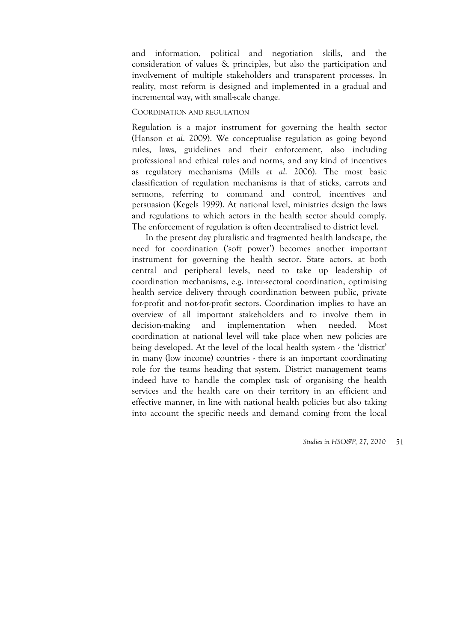and information, political and negotiation skills, and the consideration of values & principles, but also the participation and involvement of multiple stakeholders and transparent processes. In reality, most reform is designed and implemented in a gradual and incremental way, with small-scale change.

### COORDINATION AND REGULATION

Regulation is a major instrument for governing the health sector (Hanson *et al*. 2009). We conceptualise regulation as going beyond rules, laws, guidelines and their enforcement, also including professional and ethical rules and norms, and any kind of incentives as regulatory mechanisms (Mills *et al*. 2006). The most basic classification of regulation mechanisms is that of sticks, carrots and sermons, referring to command and control, incentives and persuasion (Kegels 1999). At national level, ministries design the laws and regulations to which actors in the health sector should comply. The enforcement of regulation is often decentralised to district level.

In the present day pluralistic and fragmented health landscape, the need for coordination ('soft power') becomes another important instrument for governing the health sector. State actors, at both central and peripheral levels, need to take up leadership of coordination mechanisms, e.g. inter-sectoral coordination, optimising health service delivery through coordination between public, private for-profit and not-for-profit sectors. Coordination implies to have an overview of all important stakeholders and to involve them in decision-making and implementation when needed. Most coordination at national level will take place when new policies are being developed. At the level of the local health system - the 'district' in many (low income) countries - there is an important coordinating role for the teams heading that system. District management teams indeed have to handle the complex task of organising the health services and the health care on their territory in an efficient and effective manner, in line with national health policies but also taking into account the specific needs and demand coming from the local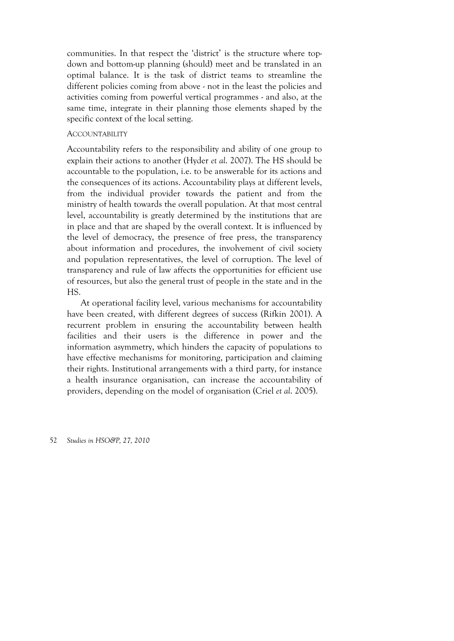communities. In that respect the 'district' is the structure where topdown and bottom-up planning (should) meet and be translated in an optimal balance. It is the task of district teams to streamline the different policies coming from above - not in the least the policies and activities coming from powerful vertical programmes - and also, at the same time, integrate in their planning those elements shaped by the specific context of the local setting.

### ACCOUNTABILITY

Accountability refers to the responsibility and ability of one group to explain their actions to another (Hyder *et al*. 2007). The HS should be accountable to the population, i.e. to be answerable for its actions and the consequences of its actions. Accountability plays at different levels, from the individual provider towards the patient and from the ministry of health towards the overall population. At that most central level, accountability is greatly determined by the institutions that are in place and that are shaped by the overall context. It is influenced by the level of democracy, the presence of free press, the transparency about information and procedures, the involvement of civil society and population representatives, the level of corruption. The level of transparency and rule of law affects the opportunities for efficient use of resources, but also the general trust of people in the state and in the HS.

At operational facility level, various mechanisms for accountability have been created, with different degrees of success (Rifkin 2001). A recurrent problem in ensuring the accountability between health facilities and their users is the difference in power and the information asymmetry, which hinders the capacity of populations to have effective mechanisms for monitoring, participation and claiming their rights. Institutional arrangements with a third party, for instance a health insurance organisation, can increase the accountability of providers, depending on the model of organisation (Criel *et al*. 2005).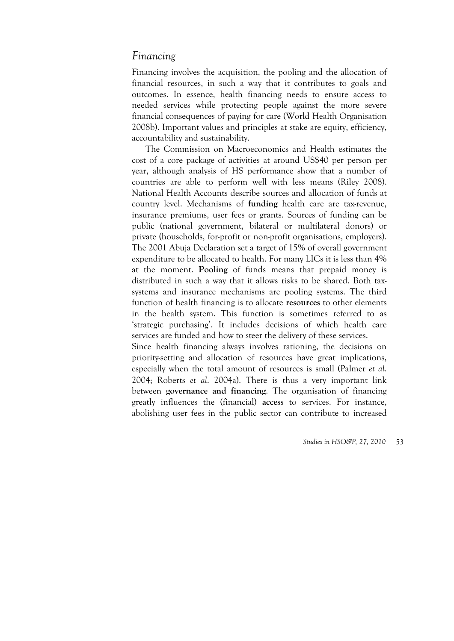# *Financing*

Financing involves the acquisition, the pooling and the allocation of financial resources, in such a way that it contributes to goals and outcomes. In essence, health financing needs to ensure access to needed services while protecting people against the more severe financial consequences of paying for care (World Health Organisation 2008b). Important values and principles at stake are equity, efficiency, accountability and sustainability.

The Commission on Macroeconomics and Health estimates the cost of a core package of activities at around US\$40 per person per year, although analysis of HS performance show that a number of countries are able to perform well with less means (Riley 2008). National Health Accounts describe sources and allocation of funds at country level. Mechanisms of **funding** health care are tax-revenue, insurance premiums, user fees or grants. Sources of funding can be public (national government, bilateral or multilateral donors) or private (households, for-profit or non-profit organisations, employers). The 2001 Abuja Declaration set a target of 15% of overall government expenditure to be allocated to health. For many LICs it is less than 4% at the moment. **Pooling** of funds means that prepaid money is distributed in such a way that it allows risks to be shared. Both taxsystems and insurance mechanisms are pooling systems. The third function of health financing is to allocate **resources** to other elements in the health system. This function is sometimes referred to as 'strategic purchasing'. It includes decisions of which health care services are funded and how to steer the delivery of these services.

Since health financing always involves rationing, the decisions on priority-setting and allocation of resources have great implications, especially when the total amount of resources is small (Palmer *et al*. 2004; Roberts *et al*. 2004a). There is thus a very important link between **governance and financing**. The organisation of financing greatly influences the (financial) **access** to services. For instance, abolishing user fees in the public sector can contribute to increased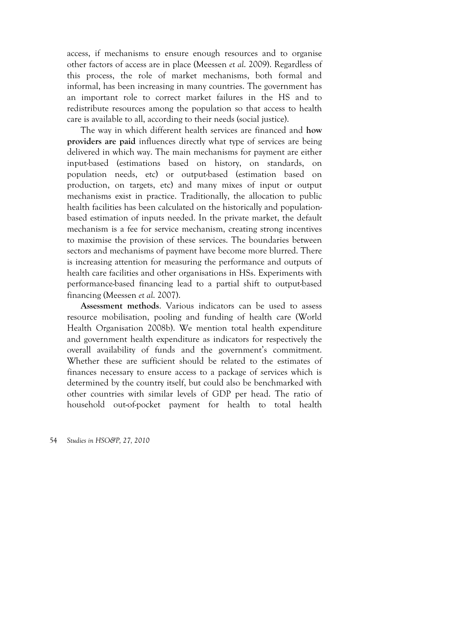access, if mechanisms to ensure enough resources and to organise other factors of access are in place (Meessen *et al*. 2009). Regardless of this process, the role of market mechanisms, both formal and informal, has been increasing in many countries. The government has an important role to correct market failures in the HS and to redistribute resources among the population so that access to health care is available to all, according to their needs (social justice).

The way in which different health services are financed and **how providers are paid** influences directly what type of services are being delivered in which way. The main mechanisms for payment are either input-based (estimations based on history, on standards, on population needs, etc) or output-based (estimation based on production, on targets, etc) and many mixes of input or output mechanisms exist in practice. Traditionally, the allocation to public health facilities has been calculated on the historically and populationbased estimation of inputs needed. In the private market, the default mechanism is a fee for service mechanism, creating strong incentives to maximise the provision of these services. The boundaries between sectors and mechanisms of payment have become more blurred. There is increasing attention for measuring the performance and outputs of health care facilities and other organisations in HSs. Experiments with performance-based financing lead to a partial shift to output-based financing (Meessen *et al*. 2007).

**Assessment methods**. Various indicators can be used to assess resource mobilisation, pooling and funding of health care (World Health Organisation 2008b). We mention total health expenditure and government health expenditure as indicators for respectively the overall availability of funds and the government's commitment. Whether these are sufficient should be related to the estimates of finances necessary to ensure access to a package of services which is determined by the country itself, but could also be benchmarked with other countries with similar levels of GDP per head. The ratio of household out-of-pocket payment for health to total health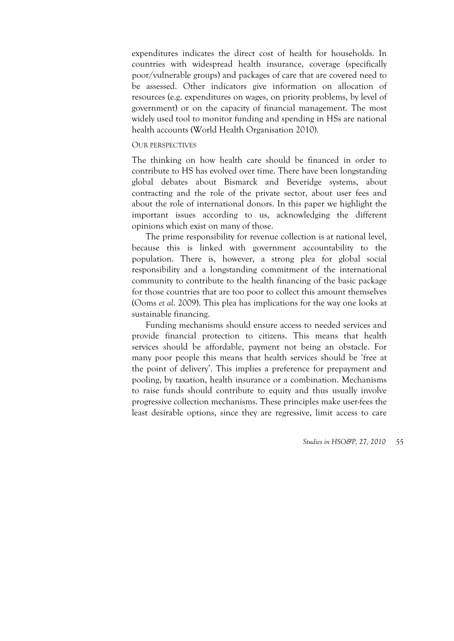expenditures indicates the direct cost of health for households. In countries with widespread health insurance, coverage (specifically poor/vulnerable groups) and packages of care that are covered need to be assessed. Other indicators give information on allocation of resources (e.g. expenditures on wages, on priority problems, by level of government) or on the capacity of financial management. The most widely used tool to monitor funding and spending in HSs are national health accounts (World Health Organisation 2010).

### OUR PERSPECTIVES

The thinking on how health care should be financed in order to contribute to HS has evolved over time. There have been longstanding global debates about Bismarck and Beveridge systems, about contracting and the role of the private sector, about user fees and about the role of international donors. In this paper we highlight the important issues according to us, acknowledging the different opinions which exist on many of those.

The prime responsibility for revenue collection is at national level, because this is linked with government accountability to the population. There is, however, a strong plea for global social responsibility and a longstanding commitment of the international community to contribute to the health financing of the basic package for those countries that are too poor to collect this amount themselves (Ooms *et al*. 2009). This plea has implications for the way one looks at sustainable financing.

Funding mechanisms should ensure access to needed services and provide financial protection to citizens. This means that health services should be affordable, payment not being an obstacle. For many poor people this means that health services should be 'free at the point of delivery'. This implies a preference for prepayment and pooling, by taxation, health insurance or a combination. Mechanisms to raise funds should contribute to equity and thus usually involve progressive collection mechanisms. These principles make user-fees the least desirable options, since they are regressive, limit access to care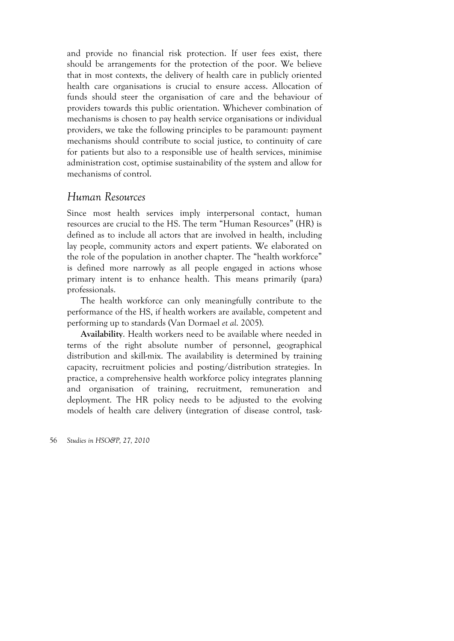and provide no financial risk protection. If user fees exist, there should be arrangements for the protection of the poor. We believe that in most contexts, the delivery of health care in publicly oriented health care organisations is crucial to ensure access. Allocation of funds should steer the organisation of care and the behaviour of providers towards this public orientation. Whichever combination of mechanisms is chosen to pay health service organisations or individual providers, we take the following principles to be paramount: payment mechanisms should contribute to social justice, to continuity of care for patients but also to a responsible use of health services, minimise administration cost, optimise sustainability of the system and allow for mechanisms of control.

### *Human Resources*

Since most health services imply interpersonal contact, human resources are crucial to the HS. The term "Human Resources" (HR) is defined as to include all actors that are involved in health, including lay people, community actors and expert patients. We elaborated on the role of the population in another chapter. The "health workforce" is defined more narrowly as all people engaged in actions whose primary intent is to enhance health. This means primarily (para) professionals.

The health workforce can only meaningfully contribute to the performance of the HS, if health workers are available, competent and performing up to standards (Van Dormael *et al*. 2005).

**Availability**. Health workers need to be available where needed in terms of the right absolute number of personnel, geographical distribution and skill-mix. The availability is determined by training capacity, recruitment policies and posting/distribution strategies. In practice, a comprehensive health workforce policy integrates planning and organisation of training, recruitment, remuneration and deployment. The HR policy needs to be adjusted to the evolving models of health care delivery (integration of disease control, task-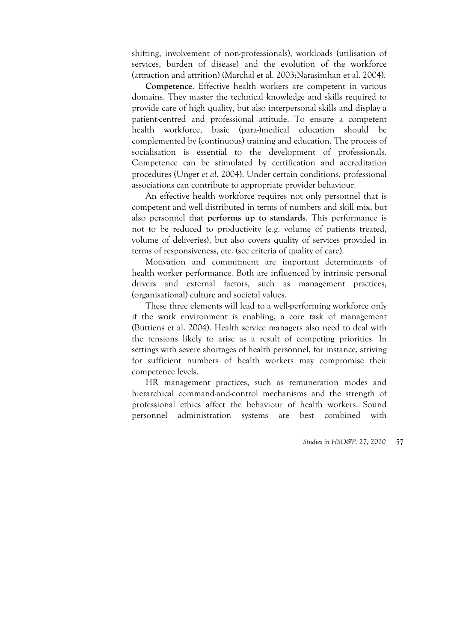shifting, involvement of non-professionals), workloads (utilisation of services, burden of disease) and the evolution of the workforce (attraction and attrition) (Marchal et al. 2003;Narasimhan et al. 2004).

**Competence**. Effective health workers are competent in various domains. They master the technical knowledge and skills required to provide care of high quality, but also interpersonal skills and display a patient-centred and professional attitude. To ensure a competent health workforce, basic (para-)medical education should be complemented by (continuous) training and education. The process of socialisation is essential to the development of professionals. Competence can be stimulated by certification and accreditation procedures (Unger *et al*. 2004). Under certain conditions, professional associations can contribute to appropriate provider behaviour.

An effective health workforce requires not only personnel that is competent and well distributed in terms of numbers and skill mix, but also personnel that **performs up to standards**. This performance is not to be reduced to productivity (e.g. volume of patients treated, volume of deliveries), but also covers quality of services provided in terms of responsiveness, etc. (see criteria of quality of care).

Motivation and commitment are important determinants of health worker performance. Both are influenced by intrinsic personal drivers and external factors, such as management practices, (organisational) culture and societal values.

These three elements will lead to a well-performing workforce only if the work environment is enabling, a core task of management (Buttiens et al. 2004). Health service managers also need to deal with the tensions likely to arise as a result of competing priorities. In settings with severe shortages of health personnel, for instance, striving for sufficient numbers of health workers may compromise their competence levels.

HR management practices, such as remuneration modes and hierarchical command-and-control mechanisms and the strength of professional ethics affect the behaviour of health workers. Sound personnel administration systems are best combined with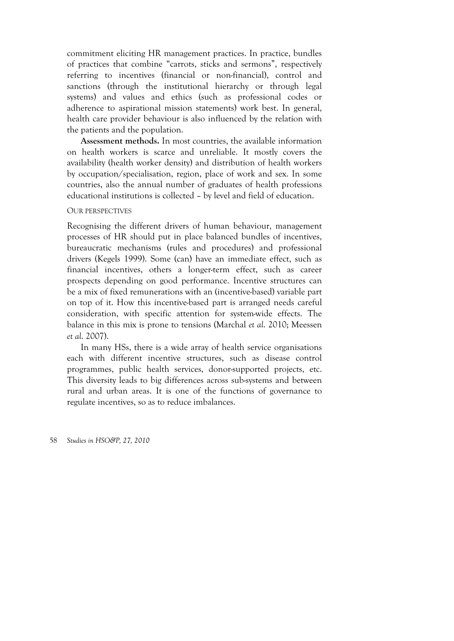commitment eliciting HR management practices. In practice, bundles of practices that combine "carrots, sticks and sermons", respectively referring to incentives (financial or non-financial), control and sanctions (through the institutional hierarchy or through legal systems) and values and ethics (such as professional codes or adherence to aspirational mission statements) work best. In general, health care provider behaviour is also influenced by the relation with the patients and the population.

**Assessment methods.** In most countries, the available information on health workers is scarce and unreliable. It mostly covers the availability (health worker density) and distribution of health workers by occupation/specialisation, region, place of work and sex. In some countries, also the annual number of graduates of health professions educational institutions is collected – by level and field of education.

#### OUR PERSPECTIVES

Recognising the different drivers of human behaviour, management processes of HR should put in place balanced bundles of incentives, bureaucratic mechanisms (rules and procedures) and professional drivers (Kegels 1999). Some (can) have an immediate effect, such as financial incentives, others a longer-term effect, such as career prospects depending on good performance. Incentive structures can be a mix of fixed remunerations with an (incentive-based) variable part on top of it. How this incentive-based part is arranged needs careful consideration, with specific attention for system-wide effects. The balance in this mix is prone to tensions (Marchal *et al*. 2010; Meessen *et al*. 2007).

In many HSs, there is a wide array of health service organisations each with different incentive structures, such as disease control programmes, public health services, donor-supported projects, etc. This diversity leads to big differences across sub-systems and between rural and urban areas. It is one of the functions of governance to regulate incentives, so as to reduce imbalances.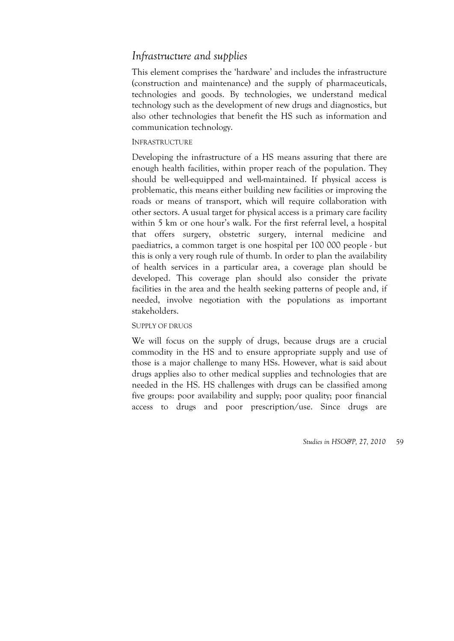# *Infrastructure and supplies*

This element comprises the 'hardware' and includes the infrastructure (construction and maintenance) and the supply of pharmaceuticals, technologies and goods. By technologies, we understand medical technology such as the development of new drugs and diagnostics, but also other technologies that benefit the HS such as information and communication technology.

### INFRASTRUCTURE

Developing the infrastructure of a HS means assuring that there are enough health facilities, within proper reach of the population. They should be well-equipped and well-maintained. If physical access is problematic, this means either building new facilities or improving the roads or means of transport, which will require collaboration with other sectors. A usual target for physical access is a primary care facility within 5 km or one hour's walk. For the first referral level, a hospital that offers surgery, obstetric surgery, internal medicine and paediatrics, a common target is one hospital per 100 000 people - but this is only a very rough rule of thumb. In order to plan the availability of health services in a particular area, a coverage plan should be developed. This coverage plan should also consider the private facilities in the area and the health seeking patterns of people and, if needed, involve negotiation with the populations as important stakeholders.

### SUPPLY OF DRUGS

We will focus on the supply of drugs, because drugs are a crucial commodity in the HS and to ensure appropriate supply and use of those is a major challenge to many HSs. However, what is said about drugs applies also to other medical supplies and technologies that are needed in the HS. HS challenges with drugs can be classified among five groups: poor availability and supply; poor quality; poor financial access to drugs and poor prescription/use. Since drugs are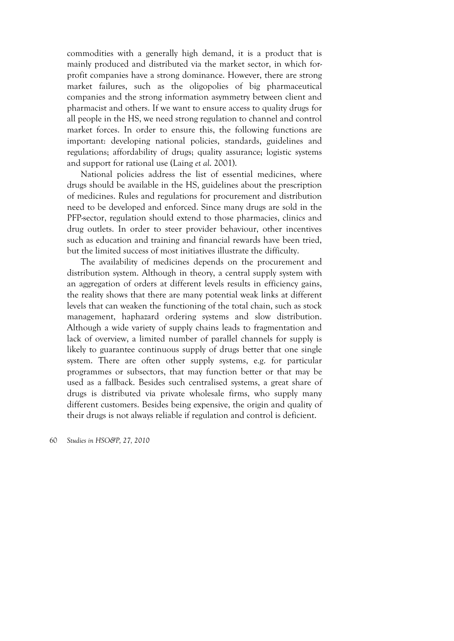commodities with a generally high demand, it is a product that is mainly produced and distributed via the market sector, in which forprofit companies have a strong dominance. However, there are strong market failures, such as the oligopolies of big pharmaceutical companies and the strong information asymmetry between client and pharmacist and others. If we want to ensure access to quality drugs for all people in the HS, we need strong regulation to channel and control market forces. In order to ensure this, the following functions are important: developing national policies, standards, guidelines and regulations; affordability of drugs; quality assurance; logistic systems and support for rational use (Laing *et al*. 2001).

National policies address the list of essential medicines, where drugs should be available in the HS, guidelines about the prescription of medicines. Rules and regulations for procurement and distribution need to be developed and enforced. Since many drugs are sold in the PFP-sector, regulation should extend to those pharmacies, clinics and drug outlets. In order to steer provider behaviour, other incentives such as education and training and financial rewards have been tried, but the limited success of most initiatives illustrate the difficulty.

The availability of medicines depends on the procurement and distribution system. Although in theory, a central supply system with an aggregation of orders at different levels results in efficiency gains, the reality shows that there are many potential weak links at different levels that can weaken the functioning of the total chain, such as stock management, haphazard ordering systems and slow distribution. Although a wide variety of supply chains leads to fragmentation and lack of overview, a limited number of parallel channels for supply is likely to guarantee continuous supply of drugs better that one single system. There are often other supply systems, e.g. for particular programmes or subsectors, that may function better or that may be used as a fallback. Besides such centralised systems, a great share of drugs is distributed via private wholesale firms, who supply many different customers. Besides being expensive, the origin and quality of their drugs is not always reliable if regulation and control is deficient.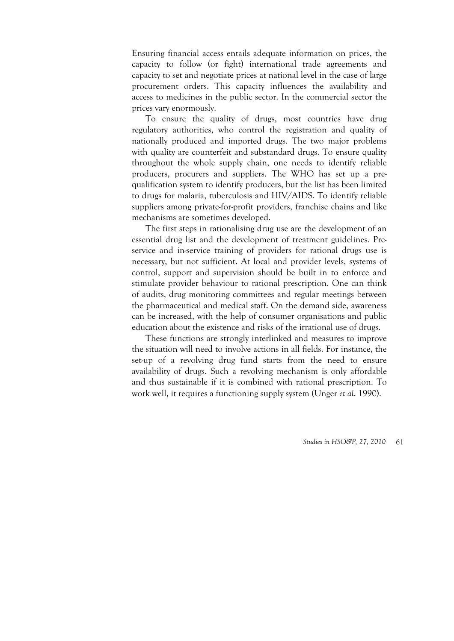Ensuring financial access entails adequate information on prices, the capacity to follow (or fight) international trade agreements and capacity to set and negotiate prices at national level in the case of large procurement orders. This capacity influences the availability and access to medicines in the public sector. In the commercial sector the prices vary enormously.

To ensure the quality of drugs, most countries have drug regulatory authorities, who control the registration and quality of nationally produced and imported drugs. The two major problems with quality are counterfeit and substandard drugs. To ensure quality throughout the whole supply chain, one needs to identify reliable producers, procurers and suppliers. The WHO has set up a prequalification system to identify producers, but the list has been limited to drugs for malaria, tuberculosis and HIV/AIDS. To identify reliable suppliers among private-for-profit providers, franchise chains and like mechanisms are sometimes developed.

The first steps in rationalising drug use are the development of an essential drug list and the development of treatment guidelines. Preservice and in-service training of providers for rational drugs use is necessary, but not sufficient. At local and provider levels, systems of control, support and supervision should be built in to enforce and stimulate provider behaviour to rational prescription. One can think of audits, drug monitoring committees and regular meetings between the pharmaceutical and medical staff. On the demand side, awareness can be increased, with the help of consumer organisations and public education about the existence and risks of the irrational use of drugs.

These functions are strongly interlinked and measures to improve the situation will need to involve actions in all fields. For instance, the set-up of a revolving drug fund starts from the need to ensure availability of drugs. Such a revolving mechanism is only affordable and thus sustainable if it is combined with rational prescription. To work well, it requires a functioning supply system (Unger *et al*. 1990).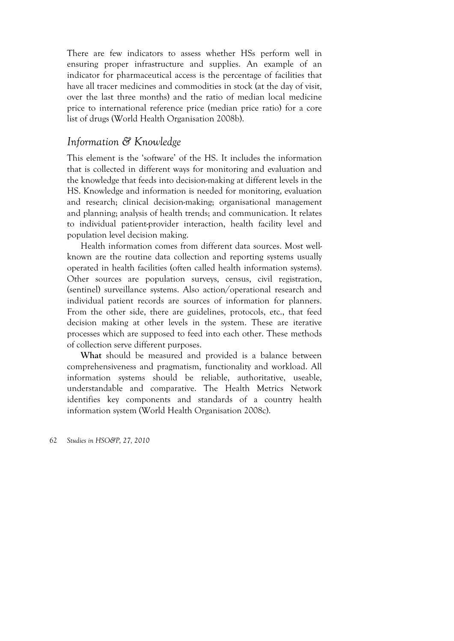There are few indicators to assess whether HSs perform well in ensuring proper infrastructure and supplies. An example of an indicator for pharmaceutical access is the percentage of facilities that have all tracer medicines and commodities in stock (at the day of visit, over the last three months) and the ratio of median local medicine price to international reference price (median price ratio) for a core list of drugs (World Health Organisation 2008b).

### *Information & Knowledge*

This element is the 'software' of the HS. It includes the information that is collected in different ways for monitoring and evaluation and the knowledge that feeds into decision-making at different levels in the HS. Knowledge and information is needed for monitoring, evaluation and research; clinical decision-making; organisational management and planning; analysis of health trends; and communication. It relates to individual patient-provider interaction, health facility level and population level decision making.

Health information comes from different data sources. Most wellknown are the routine data collection and reporting systems usually operated in health facilities (often called health information systems). Other sources are population surveys, census, civil registration, (sentinel) surveillance systems. Also action/operational research and individual patient records are sources of information for planners. From the other side, there are guidelines, protocols, etc., that feed decision making at other levels in the system. These are iterative processes which are supposed to feed into each other. These methods of collection serve different purposes.

**What** should be measured and provided is a balance between comprehensiveness and pragmatism, functionality and workload. All information systems should be reliable, authoritative, useable, understandable and comparative. The Health Metrics Network identifies key components and standards of a country health information system (World Health Organisation 2008c).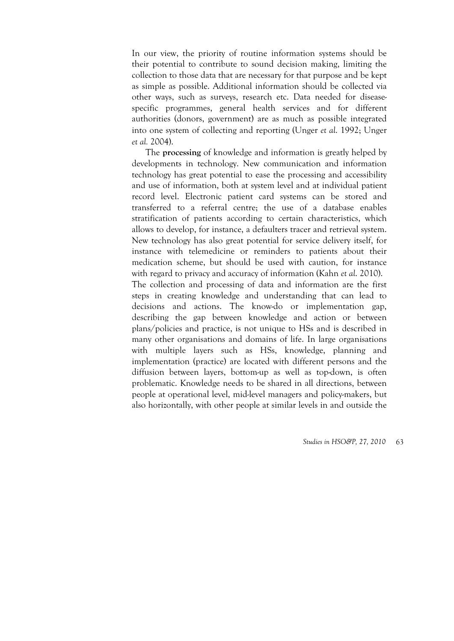In our view, the priority of routine information systems should be their potential to contribute to sound decision making, limiting the collection to those data that are necessary for that purpose and be kept as simple as possible. Additional information should be collected via other ways, such as surveys, research etc. Data needed for diseasespecific programmes, general health services and for different authorities (donors, government) are as much as possible integrated into one system of collecting and reporting (Unger *et al*. 1992; Unger *et al.* 2004).

The **processing** of knowledge and information is greatly helped by developments in technology. New communication and information technology has great potential to ease the processing and accessibility and use of information, both at system level and at individual patient record level. Electronic patient card systems can be stored and transferred to a referral centre; the use of a database enables stratification of patients according to certain characteristics, which allows to develop, for instance, a defaulters tracer and retrieval system. New technology has also great potential for service delivery itself, for instance with telemedicine or reminders to patients about their medication scheme, but should be used with caution, for instance with regard to privacy and accuracy of information (Kahn *et al*. 2010). The collection and processing of data and information are the first

steps in creating knowledge and understanding that can lead to decisions and actions. The know-do or implementation gap, describing the gap between knowledge and action or between plans/policies and practice, is not unique to HSs and is described in many other organisations and domains of life. In large organisations with multiple layers such as HSs, knowledge, planning and implementation (practice) are located with different persons and the diffusion between layers, bottom-up as well as top-down, is often problematic. Knowledge needs to be shared in all directions, between people at operational level, mid-level managers and policy-makers, but also horizontally, with other people at similar levels in and outside the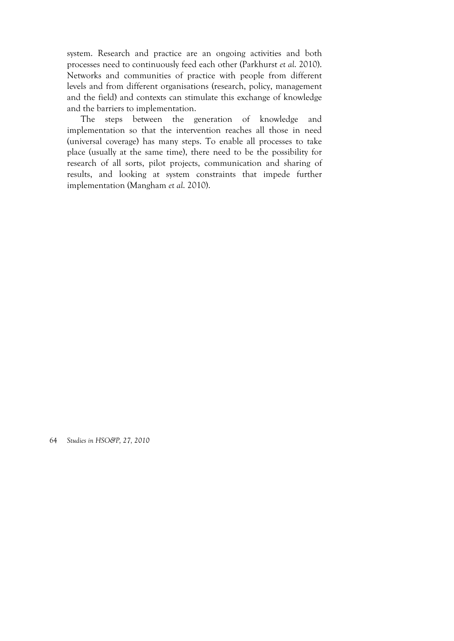system. Research and practice are an ongoing activities and both processes need to continuously feed each other (Parkhurst *et al*. 2010). Networks and communities of practice with people from different levels and from different organisations (research, policy, management and the field) and contexts can stimulate this exchange of knowledge and the barriers to implementation.

The steps between the generation of knowledge and implementation so that the intervention reaches all those in need (universal coverage) has many steps. To enable all processes to take place (usually at the same time), there need to be the possibility for research of all sorts, pilot projects, communication and sharing of results, and looking at system constraints that impede further implementation (Mangham *et al*. 2010).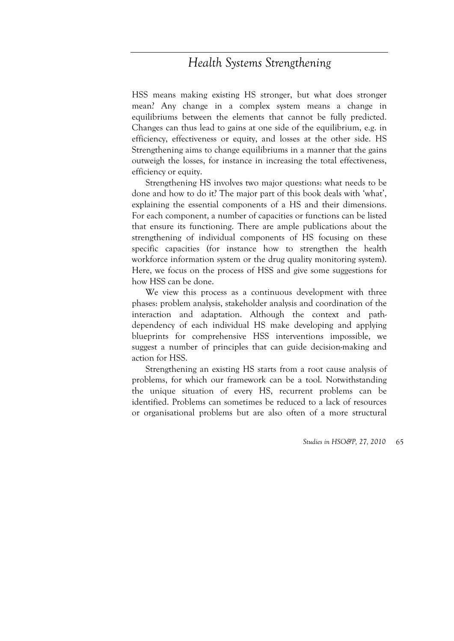# *Health Systems Strengthening*

HSS means making existing HS stronger, but what does stronger mean? Any change in a complex system means a change in equilibriums between the elements that cannot be fully predicted. Changes can thus lead to gains at one side of the equilibrium, e.g. in efficiency, effectiveness or equity, and losses at the other side. HS Strengthening aims to change equilibriums in a manner that the gains outweigh the losses, for instance in increasing the total effectiveness, efficiency or equity.

Strengthening HS involves two major questions: what needs to be done and how to do it? The major part of this book deals with 'what', explaining the essential components of a HS and their dimensions. For each component, a number of capacities or functions can be listed that ensure its functioning. There are ample publications about the strengthening of individual components of HS focusing on these specific capacities (for instance how to strengthen the health workforce information system or the drug quality monitoring system). Here, we focus on the process of HSS and give some suggestions for how HSS can be done.

We view this process as a continuous development with three phases: problem analysis, stakeholder analysis and coordination of the interaction and adaptation. Although the context and pathdependency of each individual HS make developing and applying blueprints for comprehensive HSS interventions impossible, we suggest a number of principles that can guide decision-making and action for HSS.

Strengthening an existing HS starts from a root cause analysis of problems, for which our framework can be a tool. Notwithstanding the unique situation of every HS, recurrent problems can be identified. Problems can sometimes be reduced to a lack of resources or organisational problems but are also often of a more structural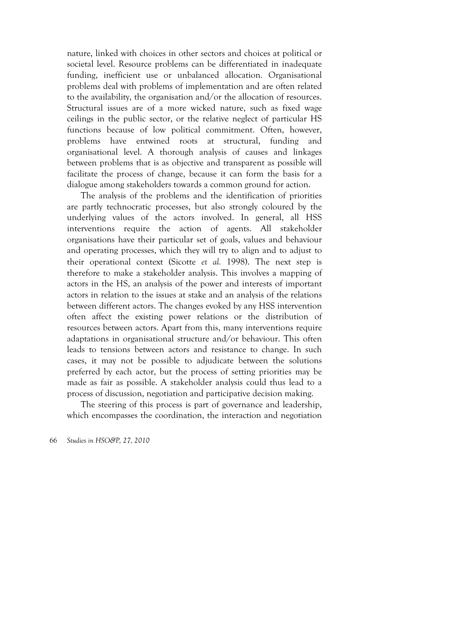nature, linked with choices in other sectors and choices at political or societal level. Resource problems can be differentiated in inadequate funding, inefficient use or unbalanced allocation. Organisational problems deal with problems of implementation and are often related to the availability, the organisation and/or the allocation of resources. Structural issues are of a more wicked nature, such as fixed wage ceilings in the public sector, or the relative neglect of particular HS functions because of low political commitment. Often, however, problems have entwined roots at structural, funding and organisational level. A thorough analysis of causes and linkages between problems that is as objective and transparent as possible will facilitate the process of change, because it can form the basis for a dialogue among stakeholders towards a common ground for action.

The analysis of the problems and the identification of priorities are partly technocratic processes, but also strongly coloured by the underlying values of the actors involved. In general, all HSS interventions require the action of agents. All stakeholder organisations have their particular set of goals, values and behaviour and operating processes, which they will try to align and to adjust to their operational context (Sicotte *et al.* 1998). The next step is therefore to make a stakeholder analysis. This involves a mapping of actors in the HS, an analysis of the power and interests of important actors in relation to the issues at stake and an analysis of the relations between different actors. The changes evoked by any HSS intervention often affect the existing power relations or the distribution of resources between actors. Apart from this, many interventions require adaptations in organisational structure and/or behaviour. This often leads to tensions between actors and resistance to change. In such cases, it may not be possible to adjudicate between the solutions preferred by each actor, but the process of setting priorities may be made as fair as possible. A stakeholder analysis could thus lead to a process of discussion, negotiation and participative decision making.

The steering of this process is part of governance and leadership, which encompasses the coordination, the interaction and negotiation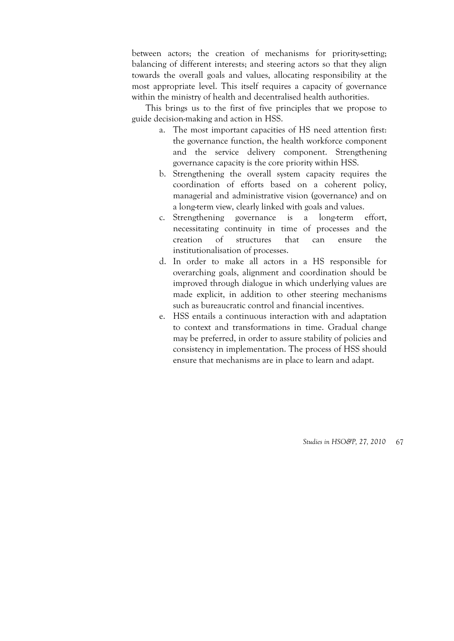between actors; the creation of mechanisms for priority-setting; balancing of different interests; and steering actors so that they align towards the overall goals and values, allocating responsibility at the most appropriate level. This itself requires a capacity of governance within the ministry of health and decentralised health authorities.

This brings us to the first of five principles that we propose to guide decision-making and action in HSS.

- a. The most important capacities of HS need attention first: the governance function, the health workforce component and the service delivery component. Strengthening governance capacity is the core priority within HSS.
- b. Strengthening the overall system capacity requires the coordination of efforts based on a coherent policy, managerial and administrative vision (governance) and on a long-term view, clearly linked with goals and values.
- c. Strengthening governance is a long-term effort, necessitating continuity in time of processes and the creation of structures that can ensure the institutionalisation of processes.
- d. In order to make all actors in a HS responsible for overarching goals, alignment and coordination should be improved through dialogue in which underlying values are made explicit, in addition to other steering mechanisms such as bureaucratic control and financial incentives.
- e. HSS entails a continuous interaction with and adaptation to context and transformations in time. Gradual change may be preferred, in order to assure stability of policies and consistency in implementation. The process of HSS should ensure that mechanisms are in place to learn and adapt.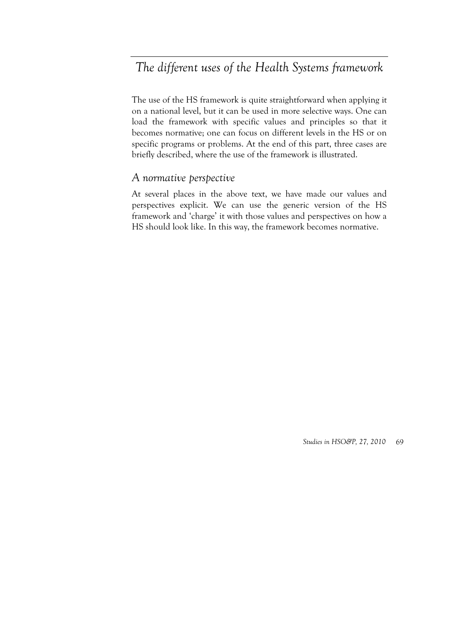# *The different uses of the Health Systems framework*

The use of the HS framework is quite straightforward when applying it on a national level, but it can be used in more selective ways. One can load the framework with specific values and principles so that it becomes normative; one can focus on different levels in the HS or on specific programs or problems. At the end of this part, three cases are briefly described, where the use of the framework is illustrated.

### *A normative perspective*

At several places in the above text, we have made our values and perspectives explicit. We can use the generic version of the HS framework and 'charge' it with those values and perspectives on how a HS should look like. In this way, the framework becomes normative.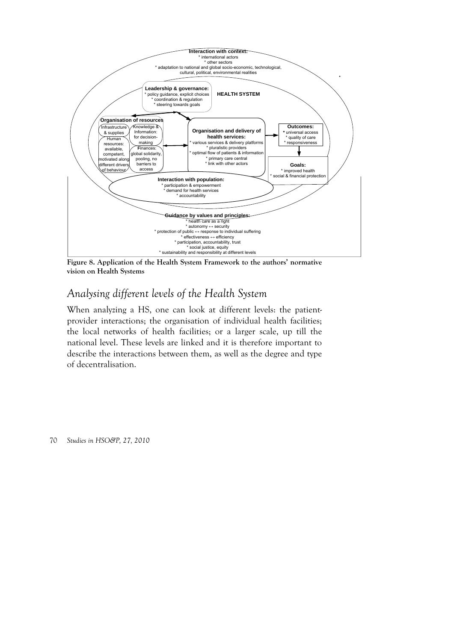

**Figure 8. Application of the Health System Framework to the authors' normative vision on Health Systems** 

## *Analysing different levels of the Health System*

When analyzing a HS, one can look at different levels: the patientprovider interactions; the organisation of individual health facilities; the local networks of health facilities; or a larger scale, up till the national level. These levels are linked and it is therefore important to describe the interactions between them, as well as the degree and type of decentralisation.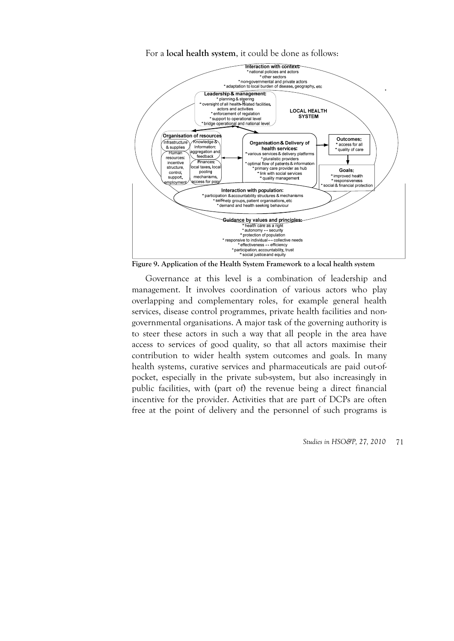For a **local health system**, it could be done as follows:



**Figure 9. Application of the Health System Framework to a local health system** 

Governance at this level is a combination of leadership and management. It involves coordination of various actors who play overlapping and complementary roles, for example general health services, disease control programmes, private health facilities and nongovernmental organisations. A major task of the governing authority is to steer these actors in such a way that all people in the area have access to services of good quality, so that all actors maximise their contribution to wider health system outcomes and goals. In many health systems, curative services and pharmaceuticals are paid out-ofpocket, especially in the private sub-system, but also increasingly in public facilities, with (part of) the revenue being a direct financial incentive for the provider. Activities that are part of DCPs are often free at the point of delivery and the personnel of such programs is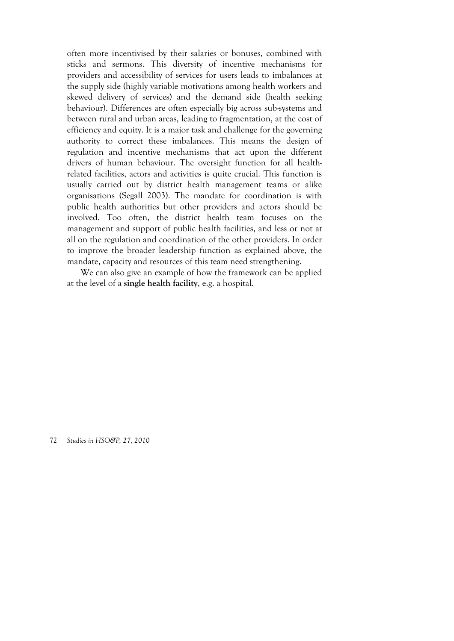often more incentivised by their salaries or bonuses, combined with sticks and sermons. This diversity of incentive mechanisms for providers and accessibility of services for users leads to imbalances at the supply side (highly variable motivations among health workers and skewed delivery of services) and the demand side (health seeking behaviour). Differences are often especially big across sub-systems and between rural and urban areas, leading to fragmentation, at the cost of efficiency and equity. It is a major task and challenge for the governing authority to correct these imbalances. This means the design of regulation and incentive mechanisms that act upon the different drivers of human behaviour. The oversight function for all healthrelated facilities, actors and activities is quite crucial. This function is usually carried out by district health management teams or alike organisations (Segall 2003). The mandate for coordination is with public health authorities but other providers and actors should be involved. Too often, the district health team focuses on the management and support of public health facilities, and less or not at all on the regulation and coordination of the other providers. In order to improve the broader leadership function as explained above, the mandate, capacity and resources of this team need strengthening.

We can also give an example of how the framework can be applied at the level of a **single health facility**, e.g. a hospital.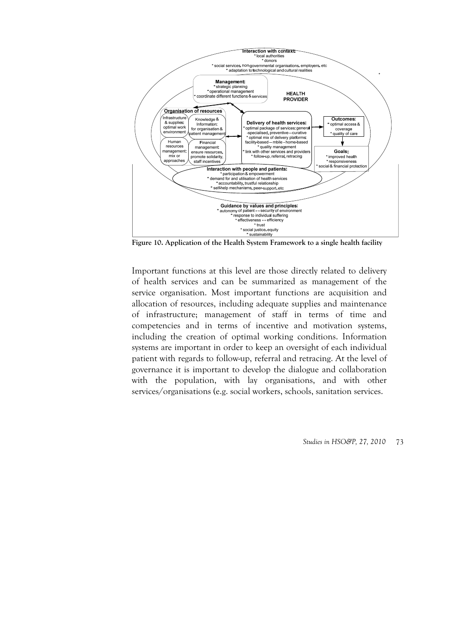

**Figure 10. Application of the Health System Framework to a single health facility** 

Important functions at this level are those directly related to delivery of health services and can be summarized as management of the service organisation. Most important functions are acquisition and allocation of resources, including adequate supplies and maintenance of infrastructure; management of staff in terms of time and competencies and in terms of incentive and motivation systems, including the creation of optimal working conditions. Information systems are important in order to keep an oversight of each individual patient with regards to follow-up, referral and retracing. At the level of governance it is important to develop the dialogue and collaboration with the population, with lay organisations, and with other services/organisations (e.g. social workers, schools, sanitation services.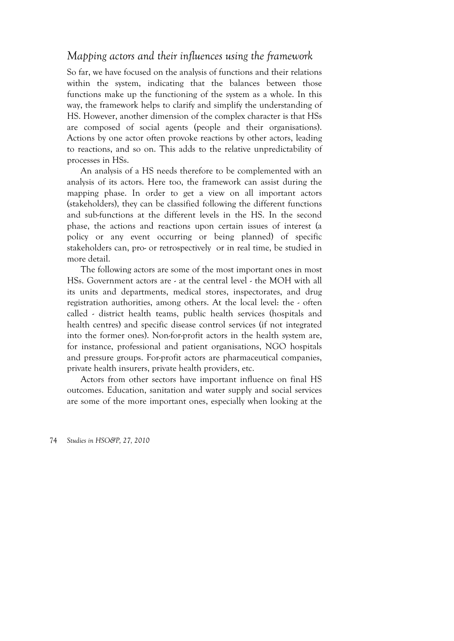## *Mapping actors and their influences using the framework*

So far, we have focused on the analysis of functions and their relations within the system, indicating that the balances between those functions make up the functioning of the system as a whole. In this way, the framework helps to clarify and simplify the understanding of HS. However, another dimension of the complex character is that HSs are composed of social agents (people and their organisations). Actions by one actor often provoke reactions by other actors, leading to reactions, and so on. This adds to the relative unpredictability of processes in HSs.

An analysis of a HS needs therefore to be complemented with an analysis of its actors. Here too, the framework can assist during the mapping phase. In order to get a view on all important actors (stakeholders), they can be classified following the different functions and sub-functions at the different levels in the HS. In the second phase, the actions and reactions upon certain issues of interest (a policy or any event occurring or being planned) of specific stakeholders can, pro- or retrospectively or in real time, be studied in more detail.

The following actors are some of the most important ones in most HSs. Government actors are - at the central level - the MOH with all its units and departments, medical stores, inspectorates, and drug registration authorities, among others. At the local level: the - often called - district health teams, public health services (hospitals and health centres) and specific disease control services (if not integrated into the former ones). Non-for-profit actors in the health system are, for instance, professional and patient organisations, NGO hospitals and pressure groups. For-profit actors are pharmaceutical companies, private health insurers, private health providers, etc.

Actors from other sectors have important influence on final HS outcomes. Education, sanitation and water supply and social services are some of the more important ones, especially when looking at the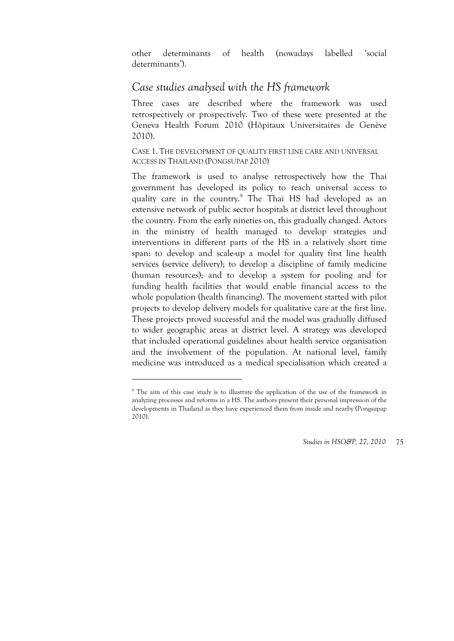other determinants of health (nowadays labelled 'social determinants').

## *Case studies analysed with the HS framework*

Three cases are described where the framework was used retrospectively or prospectively. Two of these were presented at the Geneva Health Forum 2010 (Hôpitaux Universitaires de Genève 2010).

CASE 1. THE DEVELOPMENT OF QUALITY FIRST LINE CARE AND UNIVERSAL ACCESS IN THAILAND (PONGSUPAP 2010)

The framework is used to analyse retrospectively how the Thai government has developed its policy to reach universal access to quality care in the country.<sup>9</sup> The Thai HS had developed as an extensive network of public sector hospitals at district level throughout the country. From the early nineties on, this gradually changed. Actors in the ministry of health managed to develop strategies and interventions in different parts of the HS in a relatively short time span: to develop and scale-up a model for quality first line health services (service delivery); to develop a discipline of family medicine (human resources); and to develop a system for pooling and for funding health facilities that would enable financial access to the whole population (health financing). The movement started with pilot projects to develop delivery models for qualitative care at the first line. These projects proved successful and the model was gradually diffused to wider geographic areas at district level. A strategy was developed that included operational guidelines about health service organisation and the involvement of the population. At national level, family medicine was introduced as a medical specialisation which created a

<u>.</u>

<sup>&</sup>lt;sup>9</sup> The aim of this case study is to illustrate the application of the use of the framework in analyzing processes and reforms in a HS. The authors present their personal impression of the developments in Thailand as they have experienced them from inside and nearby (Pongsupap 2010).

*Studies in HSO&P, 27, 2010* 75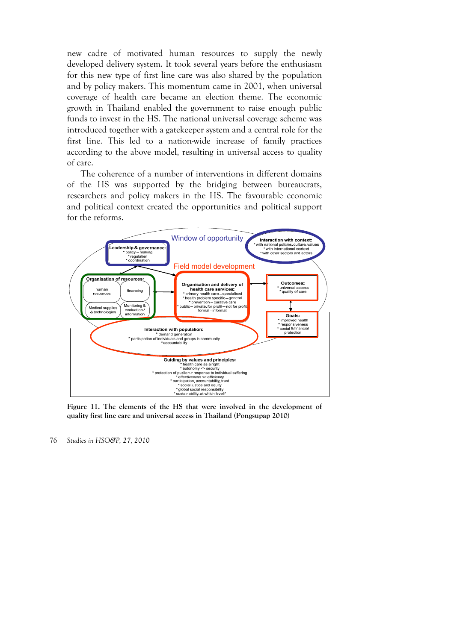new cadre of motivated human resources to supply the newly developed delivery system. It took several years before the enthusiasm for this new type of first line care was also shared by the population and by policy makers. This momentum came in 2001, when universal coverage of health care became an election theme. The economic growth in Thailand enabled the government to raise enough public funds to invest in the HS. The national universal coverage scheme was introduced together with a gatekeeper system and a central role for the first line. This led to a nation-wide increase of family practices according to the above model, resulting in universal access to quality of care.

The coherence of a number of interventions in different domains of the HS was supported by the bridging between bureaucrats, researchers and policy makers in the HS. The favourable economic and political context created the opportunities and political support for the reforms.



**Figure 11. The elements of the HS that were involved in the development of quality first line care and universal access in Thailand (Pongsupap 2010)** 

<sup>76</sup> *Studies in HSO&P, 27, 2010*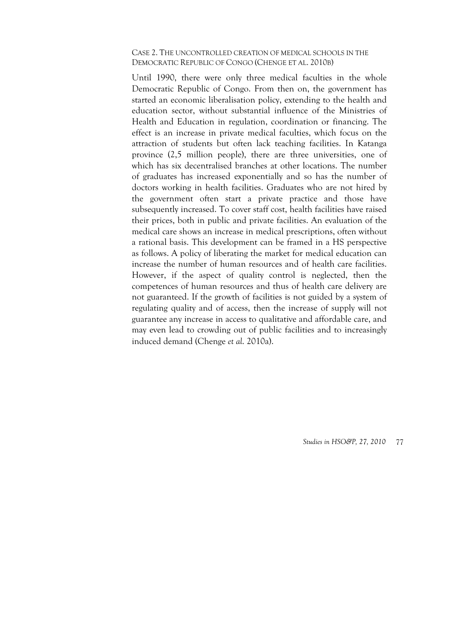#### CASE 2. THE UNCONTROLLED CREATION OF MEDICAL SCHOOLS IN THE DEMOCRATIC REPUBLIC OF CONGO (CHENGE ET AL. 2010B)

Until 1990, there were only three medical faculties in the whole Democratic Republic of Congo. From then on, the government has started an economic liberalisation policy, extending to the health and education sector, without substantial influence of the Ministries of Health and Education in regulation, coordination or financing. The effect is an increase in private medical faculties, which focus on the attraction of students but often lack teaching facilities. In Katanga province (2,5 million people), there are three universities, one of which has six decentralised branches at other locations. The number of graduates has increased exponentially and so has the number of doctors working in health facilities. Graduates who are not hired by the government often start a private practice and those have subsequently increased. To cover staff cost, health facilities have raised their prices, both in public and private facilities. An evaluation of the medical care shows an increase in medical prescriptions, often without a rational basis. This development can be framed in a HS perspective as follows. A policy of liberating the market for medical education can increase the number of human resources and of health care facilities. However, if the aspect of quality control is neglected, then the competences of human resources and thus of health care delivery are not guaranteed. If the growth of facilities is not guided by a system of regulating quality and of access, then the increase of supply will not guarantee any increase in access to qualitative and affordable care, and may even lead to crowding out of public facilities and to increasingly induced demand (Chenge *et al*. 2010a).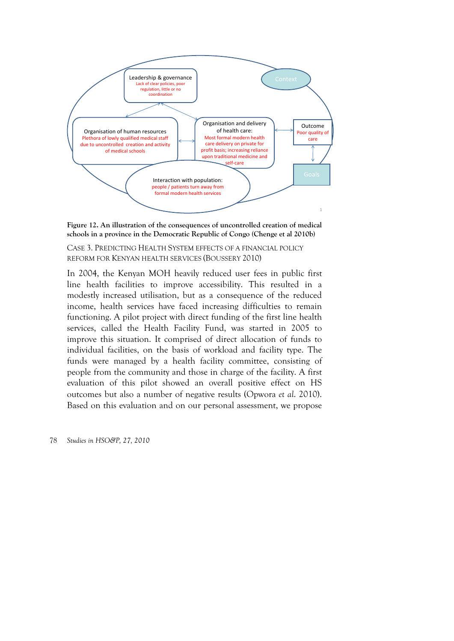



CASE 3. PREDICTING HEALTH SYSTEM EFFECTS OF A FINANCIAL POLICY REFORM FOR KENYAN HEALTH SERVICES (BOUSSERY 2010)

In 2004, the Kenyan MOH heavily reduced user fees in public first line health facilities to improve accessibility. This resulted in a modestly increased utilisation, but as a consequence of the reduced income, health services have faced increasing difficulties to remain functioning. A pilot project with direct funding of the first line health services, called the Health Facility Fund, was started in 2005 to improve this situation. It comprised of direct allocation of funds to individual facilities, on the basis of workload and facility type. The funds were managed by a health facility committee, consisting of people from the community and those in charge of the facility. A first evaluation of this pilot showed an overall positive effect on HS outcomes but also a number of negative results (Opwora *et al*. 2010). Based on this evaluation and on our personal assessment, we propose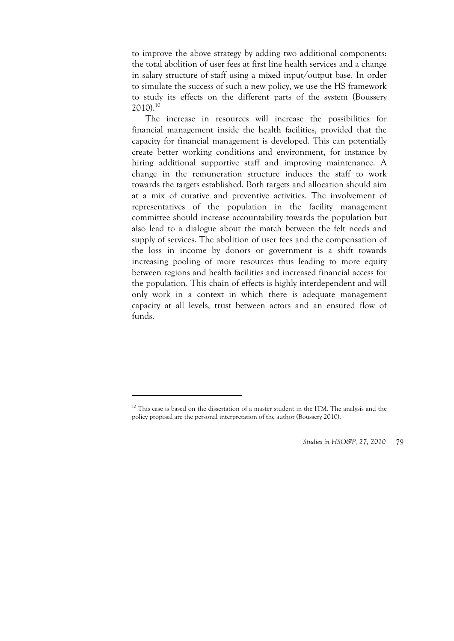to improve the above strategy by adding two additional components: the total abolition of user fees at first line health services and a change in salary structure of staff using a mixed input/output base. In order to simulate the success of such a new policy, we use the HS framework to study its effects on the different parts of the system (Boussery 2010).10

The increase in resources will increase the possibilities for financial management inside the health facilities, provided that the capacity for financial management is developed. This can potentially create better working conditions and environment, for instance by hiring additional supportive staff and improving maintenance. A change in the remuneration structure induces the staff to work towards the targets established. Both targets and allocation should aim at a mix of curative and preventive activities. The involvement of representatives of the population in the facility management committee should increase accountability towards the population but also lead to a dialogue about the match between the felt needs and supply of services. The abolition of user fees and the compensation of the loss in income by donors or government is a shift towards increasing pooling of more resources thus leading to more equity between regions and health facilities and increased financial access for the population. This chain of effects is highly interdependent and will only work in a context in which there is adequate management capacity at all levels, trust between actors and an ensured flow of funds.

1

<sup>&</sup>lt;sup>10</sup> This case is based on the dissertation of a master student in the ITM. The analysis and the policy proposal are the personal interpretation of the author (Boussery 2010).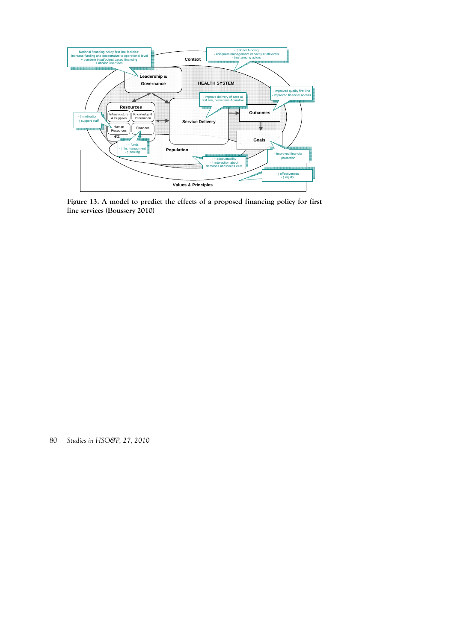

**Figure 13. A model to predict the effects of a proposed financing policy for first line services (Boussery 2010)**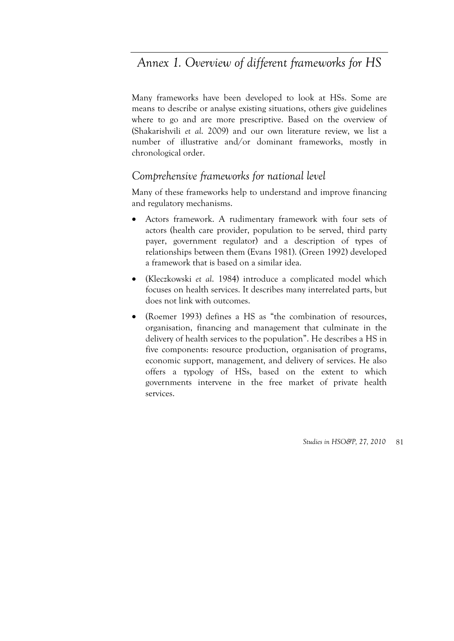# *Annex 1. Overview of different frameworks for HS*

Many frameworks have been developed to look at HSs. Some are means to describe or analyse existing situations, others give guidelines where to go and are more prescriptive. Based on the overview of (Shakarishvili *et al*. 2009) and our own literature review, we list a number of illustrative and/or dominant frameworks, mostly in chronological order.

## *Comprehensive frameworks for national level*

Many of these frameworks help to understand and improve financing and regulatory mechanisms.

- Actors framework. A rudimentary framework with four sets of actors (health care provider, population to be served, third party payer, government regulator) and a description of types of relationships between them (Evans 1981). (Green 1992) developed a framework that is based on a similar idea.
- (Kleczkowski *et al*. 1984) introduce a complicated model which focuses on health services. It describes many interrelated parts, but does not link with outcomes.
- (Roemer 1993) defines a HS as "the combination of resources, organisation, financing and management that culminate in the delivery of health services to the population". He describes a HS in five components: resource production, organisation of programs, economic support, management, and delivery of services. He also offers a typology of HSs, based on the extent to which governments intervene in the free market of private health services.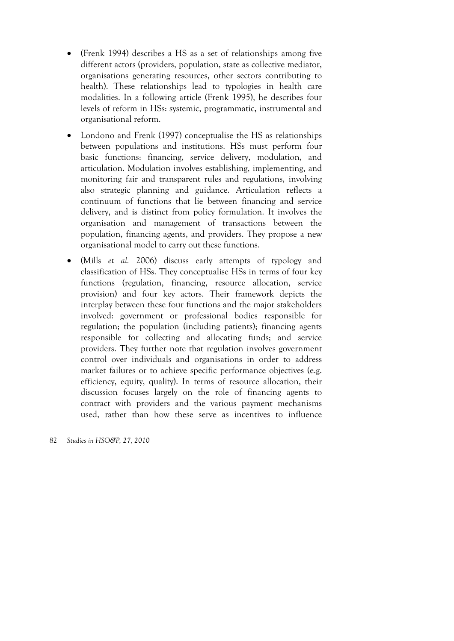- (Frenk 1994) describes a HS as a set of relationships among five different actors (providers, population, state as collective mediator, organisations generating resources, other sectors contributing to health). These relationships lead to typologies in health care modalities. In a following article (Frenk 1995), he describes four levels of reform in HSs: systemic, programmatic, instrumental and organisational reform.
- Londono and Frenk (1997) conceptualise the HS as relationships between populations and institutions. HSs must perform four basic functions: financing, service delivery, modulation, and articulation. Modulation involves establishing, implementing, and monitoring fair and transparent rules and regulations, involving also strategic planning and guidance. Articulation reflects a continuum of functions that lie between financing and service delivery, and is distinct from policy formulation. It involves the organisation and management of transactions between the population, financing agents, and providers. They propose a new organisational model to carry out these functions.
- (Mills *et al.* 2006) discuss early attempts of typology and classification of HSs. They conceptualise HSs in terms of four key functions (regulation, financing, resource allocation, service provision) and four key actors. Their framework depicts the interplay between these four functions and the major stakeholders involved: government or professional bodies responsible for regulation; the population (including patients); financing agents responsible for collecting and allocating funds; and service providers. They further note that regulation involves government control over individuals and organisations in order to address market failures or to achieve specific performance objectives (e.g. efficiency, equity, quality). In terms of resource allocation, their discussion focuses largely on the role of financing agents to contract with providers and the various payment mechanisms used, rather than how these serve as incentives to influence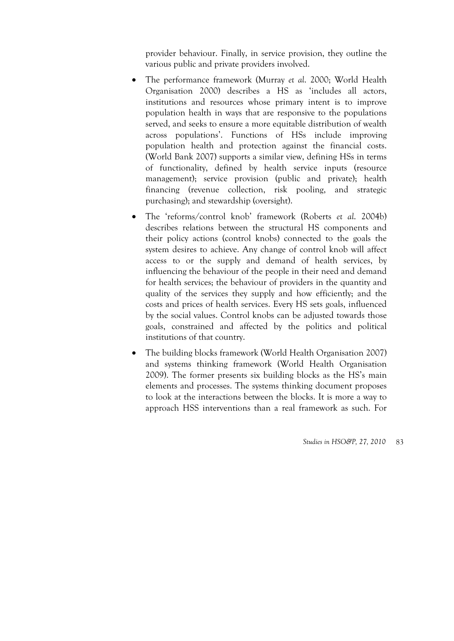provider behaviour. Finally, in service provision, they outline the various public and private providers involved.

- The performance framework (Murray *et al*. 2000; World Health Organisation 2000) describes a HS as 'includes all actors, institutions and resources whose primary intent is to improve population health in ways that are responsive to the populations served, and seeks to ensure a more equitable distribution of wealth across populations'. Functions of HSs include improving population health and protection against the financial costs. (World Bank 2007) supports a similar view, defining HSs in terms of functionality, defined by health service inputs (resource management); service provision (public and private); health financing (revenue collection, risk pooling, and strategic purchasing); and stewardship (oversight).
- The 'reforms/control knob' framework (Roberts *et al*. 2004b) describes relations between the structural HS components and their policy actions (control knobs) connected to the goals the system desires to achieve. Any change of control knob will affect access to or the supply and demand of health services, by influencing the behaviour of the people in their need and demand for health services; the behaviour of providers in the quantity and quality of the services they supply and how efficiently; and the costs and prices of health services. Every HS sets goals, influenced by the social values. Control knobs can be adjusted towards those goals, constrained and affected by the politics and political institutions of that country.
- The building blocks framework (World Health Organisation 2007) and systems thinking framework (World Health Organisation 2009). The former presents six building blocks as the HS's main elements and processes. The systems thinking document proposes to look at the interactions between the blocks. It is more a way to approach HSS interventions than a real framework as such. For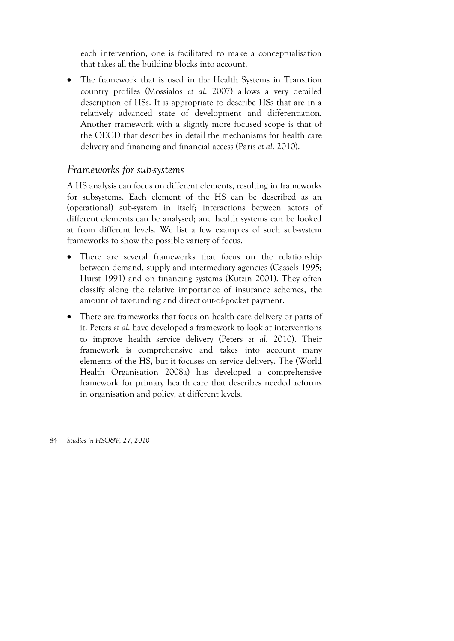each intervention, one is facilitated to make a conceptualisation that takes all the building blocks into account.

• The framework that is used in the Health Systems in Transition country profiles (Mossialos *et al*. 2007) allows a very detailed description of HSs. It is appropriate to describe HSs that are in a relatively advanced state of development and differentiation. Another framework with a slightly more focused scope is that of the OECD that describes in detail the mechanisms for health care delivery and financing and financial access (Paris *et al*. 2010).

### *Frameworks for sub-systems*

A HS analysis can focus on different elements, resulting in frameworks for subsystems. Each element of the HS can be described as an (operational) sub-system in itself; interactions between actors of different elements can be analysed; and health systems can be looked at from different levels. We list a few examples of such sub-system frameworks to show the possible variety of focus.

- There are several frameworks that focus on the relationship between demand, supply and intermediary agencies (Cassels 1995; Hurst 1991) and on financing systems (Kutzin 2001). They often classify along the relative importance of insurance schemes, the amount of tax-funding and direct out-of-pocket payment.
- There are frameworks that focus on health care delivery or parts of it. Peters *et al*. have developed a framework to look at interventions to improve health service delivery (Peters *et al.* 2010). Their framework is comprehensive and takes into account many elements of the HS, but it focuses on service delivery. The (World Health Organisation 2008a) has developed a comprehensive framework for primary health care that describes needed reforms in organisation and policy, at different levels.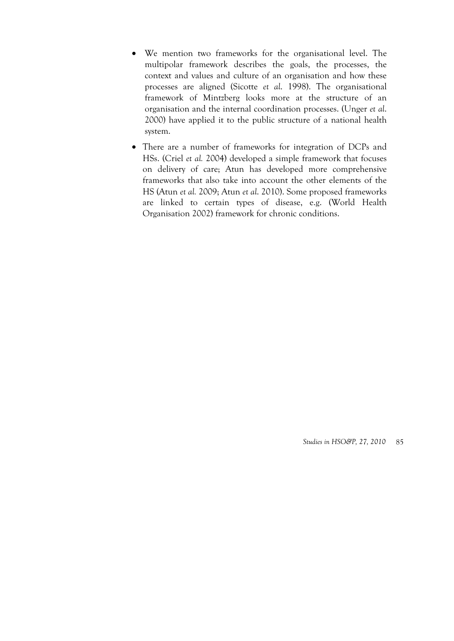- We mention two frameworks for the organisational level. The multipolar framework describes the goals, the processes, the context and values and culture of an organisation and how these processes are aligned (Sicotte *et al*. 1998). The organisational framework of Mintzberg looks more at the structure of an organisation and the internal coordination processes. (Unger *et al*. 2000) have applied it to the public structure of a national health system.
- There are a number of frameworks for integration of DCPs and HSs. (Criel *et al.* 2004) developed a simple framework that focuses on delivery of care; Atun has developed more comprehensive frameworks that also take into account the other elements of the HS (Atun *et al.* 2009; Atun *et al*. 2010). Some proposed frameworks are linked to certain types of disease, e.g. (World Health Organisation 2002) framework for chronic conditions.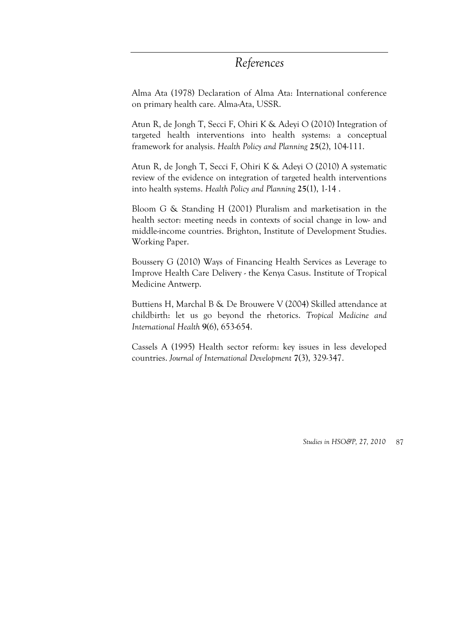## *References*

Alma Ata (1978) Declaration of Alma Ata: International conference on primary health care. Alma-Ata, USSR.

Atun R, de Jongh T, Secci F, Ohiri K & Adeyi O (2010) Integration of targeted health interventions into health systems: a conceptual framework for analysis. *Health Policy and Planning* **25**(2), 104-111.

Atun R, de Jongh T, Secci F, Ohiri K & Adeyi O (2010) A systematic review of the evidence on integration of targeted health interventions into health systems. *Health Policy and Planning* **25**(1), 1-14 .

Bloom G & Standing H (2001) Pluralism and marketisation in the health sector: meeting needs in contexts of social change in low- and middle-income countries. Brighton, Institute of Development Studies. Working Paper.

Boussery G (2010) Ways of Financing Health Services as Leverage to Improve Health Care Delivery - the Kenya Casus. Institute of Tropical Medicine Antwerp.

Buttiens H, Marchal B & De Brouwere V (2004) Skilled attendance at childbirth: let us go beyond the rhetorics. *Tropical Medicine and International Health* **9**(6), 653-654.

Cassels A (1995) Health sector reform: key issues in less developed countries. *Journal of International Development* **7**(3), 329-347.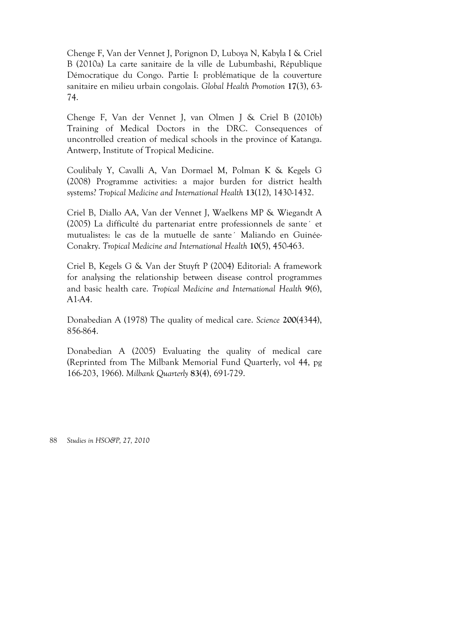Chenge F, Van der Vennet J, Porignon D, Luboya N, Kabyla I & Criel B (2010a) La carte sanitaire de la ville de Lubumbashi, République Démocratique du Congo. Partie I: problématique de la couverture sanitaire en milieu urbain congolais. *Global Health Promotion* **17**(3), 63- 74.

Chenge F, Van der Vennet J, van Olmen J & Criel B (2010b) Training of Medical Doctors in the DRC. Consequences of uncontrolled creation of medical schools in the province of Katanga. Antwerp, Institute of Tropical Medicine.

Coulibaly Y, Cavalli A, Van Dormael M, Polman K & Kegels G (2008) Programme activities: a major burden for district health systems? *Tropical Medicine and International Health* **13**(12), 1430-1432.

Criel B, Diallo AA, Van der Vennet J, Waelkens MP & Wiegandt A (2005) La difficulté du partenariat entre professionnels de sante´ et mutualistes: le cas de la mutuelle de sante´ Maliando en Guinée-Conakry. *Tropical Medicine and International Health* **10**(5), 450-463.

Criel B, Kegels G & Van der Stuyft P (2004) Editorial: A framework for analysing the relationship between disease control programmes and basic health care. *Tropical Medicine and International Health* **9(**6), A1-A4.

Donabedian A (1978) The quality of medical care. *Science* **200**(4344), 856-864.

Donabedian A (2005) Evaluating the quality of medical care (Reprinted from The Milbank Memorial Fund Quarterly, vol 44, pg 166-203, 1966). *Milbank Quarterly* **83**(4), 691-729.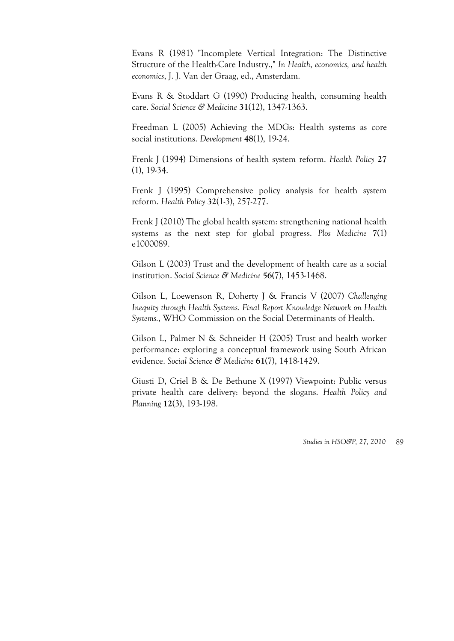Evans R (1981) "Incomplete Vertical Integration: The Distinctive Structure of the Health-Care Industry.," *In Health, economics, and health economics*, J. J. Van der Graag, ed., Amsterdam.

Evans R & Stoddart G (1990) Producing health, consuming health care. *Social Science & Medicine* **31**(12), 1347-1363.

Freedman L (2005) Achieving the MDGs: Health systems as core social institutions. *Development* **48**(1), 19-24.

Frenk J (1994) Dimensions of health system reform. *Health Policy* **27** (1), 19-34.

Frenk J (1995) Comprehensive policy analysis for health system reform. *Health Policy* **32**(1-3), 257-277.

Frenk J (2010) The global health system: strengthening national health systems as the next step for global progress. *Plos Medicine* **7**(1) e1000089.

Gilson L (2003) Trust and the development of health care as a social institution. *Social Science & Medicine* **56**(7), 1453-1468.

Gilson L, Loewenson R, Doherty J & Francis V (2007) *Challenging Inequity through Health Systems. Final Report Knowledge Network on Health Systems.*, WHO Commission on the Social Determinants of Health.

Gilson L, Palmer N & Schneider H (2005) Trust and health worker performance: exploring a conceptual framework using South African evidence. *Social Science & Medicine* **61**(7), 1418-1429.

Giusti D, Criel B & De Bethune X (1997) Viewpoint: Public versus private health care delivery: beyond the slogans. *Health Policy and Planning* **12**(3), 193-198.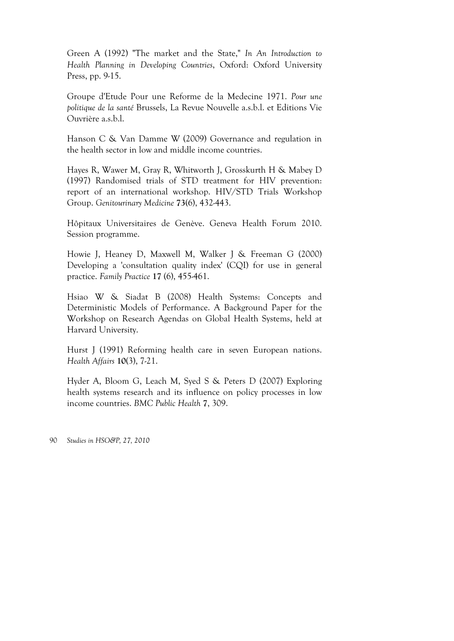Green A (1992) "The market and the State," *In An Introduction to Health Planning in Developing Countries*, Oxford: Oxford University Press, pp. 9-15.

Groupe d'Etude Pour une Reforme de la Medecine 1971. *Pour une politique de la santé* Brussels, La Revue Nouvelle a.s.b.l. et Editions Vie Ouvrière a.s.b.l.

Hanson C & Van Damme W (2009) Governance and regulation in the health sector in low and middle income countries.

Hayes R, Wawer M, Gray R, Whitworth J, Grosskurth H & Mabey D (1997) Randomised trials of STD treatment for HIV prevention: report of an international workshop. HIV/STD Trials Workshop Group. *Genitourinary Medicine* **73**(6), 432-443.

Hôpitaux Universitaires de Genève. Geneva Health Forum 2010. Session programme.

Howie J, Heaney D, Maxwell M, Walker J & Freeman G (2000) Developing a 'consultation quality index' (CQI) for use in general practice. *Family Practice* **17** (6), 455-461.

Hsiao W & Siadat B (2008) Health Systems: Concepts and Deterministic Models of Performance. A Background Paper for the Workshop on Research Agendas on Global Health Systems, held at Harvard University.

Hurst J (1991) Reforming health care in seven European nations. *Health Affairs* **10**(3), 7-21.

Hyder A, Bloom G, Leach M, Syed S & Peters D (2007) Exploring health systems research and its influence on policy processes in low income countries. *BMC Public Health* **7**, 309.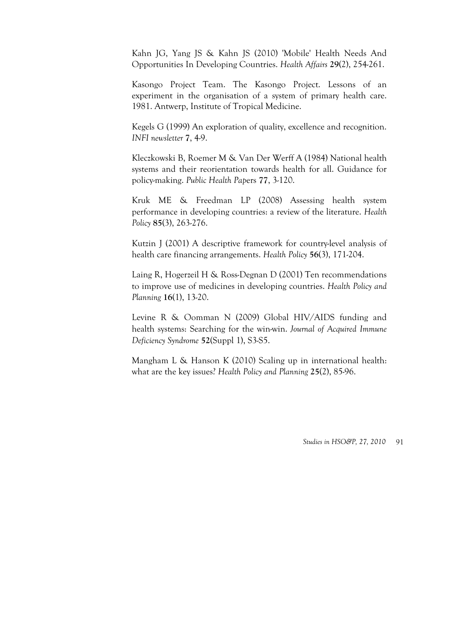Kahn JG, Yang JS & Kahn JS (2010) 'Mobile' Health Needs And Opportunities In Developing Countries. *Health Affairs* **29**(2), 254-261.

Kasongo Project Team. The Kasongo Project. Lessons of an experiment in the organisation of a system of primary health care. 1981. Antwerp, Institute of Tropical Medicine.

Kegels G (1999) An exploration of quality, excellence and recognition. *INFI newsletter* **7**, 4-9.

Kleczkowski B, Roemer M & Van Der Werff A (1984) National health systems and their reorientation towards health for all. Guidance for policy-making. *Public Health Pap*ers **77**, 3-120.

Kruk ME & Freedman LP (2008) Assessing health system performance in developing countries: a review of the literature. *Health Policy* **85**(3), 263-276.

Kutzin J (2001) A descriptive framework for country-level analysis of health care financing arrangements. *Health Policy* **56**(3), 171-204.

Laing R, Hogerzeil H & Ross-Degnan D (2001) Ten recommendations to improve use of medicines in developing countries. *Health Policy and Planning* **16**(1), 13-20.

Levine R & Oomman N (2009) Global HIV/AIDS funding and health systems: Searching for the win-win. *Journal of Acquired Immune Deficiency Syndrome* **52**(Suppl 1), S3-S5.

Mangham L & Hanson K (2010) Scaling up in international health: what are the key issues? *Health Policy and Planning* **25**(2), 85-96.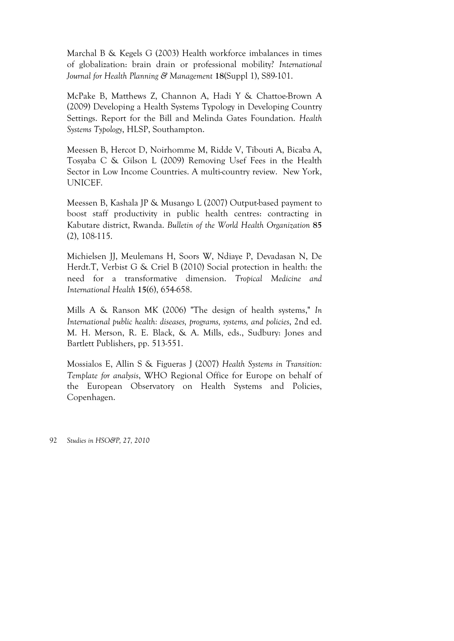Marchal B & Kegels G (2003) Health workforce imbalances in times of globalization: brain drain or professional mobility? *International Journal for Health Planning & Management* **18**(Suppl 1), S89-101.

McPake B, Matthews Z, Channon A, Hadi Y & Chattoe-Brown A (2009) Developing a Health Systems Typology in Developing Country Settings. Report for the Bill and Melinda Gates Foundation. *Health Systems Typology*, HLSP, Southampton.

Meessen B, Hercot D, Noirhomme M, Ridde V, Tibouti A, Bicaba A, Tosyaba C & Gilson L (2009) Removing Usef Fees in the Health Sector in Low Income Countries. A multi-country review. New York, UNICEF.

Meessen B, Kashala JP & Musango L (2007) Output-based payment to boost staff productivity in public health centres: contracting in Kabutare district, Rwanda. *Bulletin of the World Health Organization* **85** (2), 108-115.

Michielsen JJ, Meulemans H, Soors W, Ndiaye P, Devadasan N, De Herdt.T, Verbist G & Criel B (2010) Social protection in health: the need for a transformative dimension. *Tropical Medicine and International Health* **15**(6), 654-658.

Mills A & Ranson MK (2006) "The design of health systems," *In International public health: diseases, programs, systems, and policies*, 2nd ed. M. H. Merson, R. E. Black, & A. Mills, eds., Sudbury: Jones and Bartlett Publishers, pp. 513-551.

Mossialos E, Allin S & Figueras J (2007) *Health Systems in Transition: Template for analysis*, WHO Regional Office for Europe on behalf of the European Observatory on Health Systems and Policies, Copenhagen.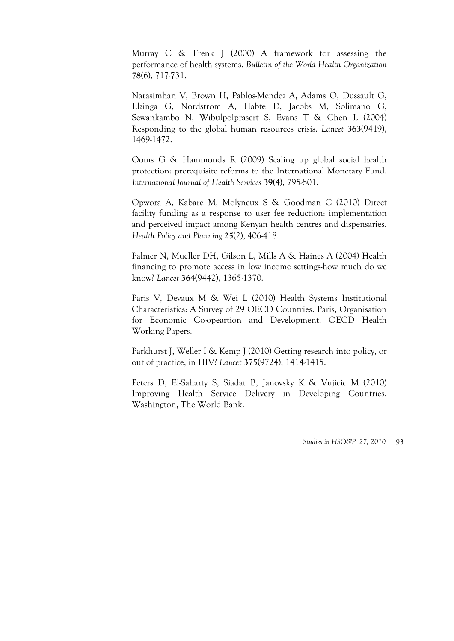Murray C & Frenk J (2000) A framework for assessing the performance of health systems. *Bulletin of the World Health Organization* **78**(6), 717-731.

Narasimhan V, Brown H, Pablos-Mendez A, Adams O, Dussault G, Elzinga G, Nordstrom A, Habte D, Jacobs M, Solimano G, Sewankambo N, Wibulpolprasert S, Evans T & Chen L (2004) Responding to the global human resources crisis. *Lancet* **363**(9419), 1469-1472.

Ooms G & Hammonds R (2009) Scaling up global social health protection: prerequisite reforms to the International Monetary Fund. *International Journal of Health Services* **39**(4), 795-801.

Opwora A, Kabare M, Molyneux S & Goodman C (2010) Direct facility funding as a response to user fee reduction: implementation and perceived impact among Kenyan health centres and dispensaries. *Health Policy and Planning* **25**(2), 406-418.

Palmer N, Mueller DH, Gilson L, Mills A & Haines A (2004) Health financing to promote access in low income settings-how much do we know? *Lancet* **364**(9442), 1365-1370.

Paris V, Devaux M & Wei L (2010) Health Systems Institutional Characteristics: A Survey of 29 OECD Countries. Paris, Organisation for Economic Co-opeartion and Development. OECD Health Working Papers.

Parkhurst J, Weller I & Kemp J (2010) Getting research into policy, or out of practice, in HIV? *Lancet* **375**(9724), 1414-1415.

Peters D, El-Saharty S, Siadat B, Janovsky K & Vujicic M (2010) Improving Health Service Delivery in Developing Countries. Washington, The World Bank.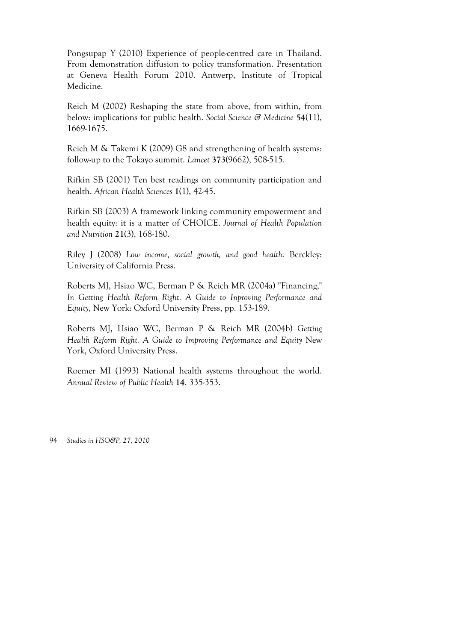Pongsupap Y (2010) Experience of people-centred care in Thailand. From demonstration diffusion to policy transformation. Presentation at Geneva Health Forum 2010. Antwerp, Institute of Tropical Medicine.

Reich M (2002) Reshaping the state from above, from within, from below: implications for public health. *Social Science & Medicine* **54**(11), 1669-1675.

Reich M & Takemi K (2009) G8 and strengthening of health systems: follow-up to the Tokayo summit. *Lancet* **373**(9662), 508-515.

Rifkin SB (2001) Ten best readings on community participation and health. *African Health Sciences* **1**(1), 42-45.

Rifkin SB (2003) A framework linking community empowerment and health equity: it is a matter of CHOICE. *Journal of Health Population and Nutrition* **21**(3), 168-180.

Riley J (2008) *Low income, social growth, and good health.* Berckley: University of California Press.

Roberts MJ, Hsiao WC, Berman P & Reich MR (2004a) "Financing," *In Getting Health Reform Right. A Guide to Inproving Performance and Equity*, New York: Oxford University Press, pp. 153-189.

Roberts MJ, Hsiao WC, Berman P & Reich MR (2004b) *Getting Health Reform Right. A Guide to Improving Performance and Equity* New York, Oxford University Press.

Roemer MI (1993) National health systems throughout the world. *Annual Review of Public Health* **14**, 335-353.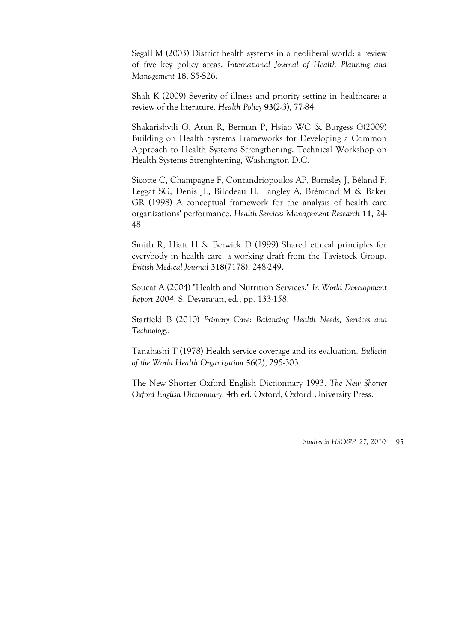Segall M (2003) District health systems in a neoliberal world: a review of five key policy areas. *International Journal of Health Planning and Management* **18**, S5-S26.

Shah K (2009) Severity of illness and priority setting in healthcare: a review of the literature. *Health Policy* **93**(2-3), 77-84.

Shakarishvili G, Atun R, Berman P, Hsiao WC & Burgess G(2009) Building on Health Systems Frameworks for Developing a Common Approach to Health Systems Strengthening. Technical Workshop on Health Systems Strenghtening, Washington D.C.

Sicotte C, Champagne F, Contandriopoulos AP, Barnsley J, Béland F, Leggat SG, Denis JL, Bilodeau H, Langley A, Brémond M & Baker GR (1998) A conceptual framework for the analysis of health care organizations' performance. *Health Services Management Research* **11**, 24- 48

Smith R, Hiatt H & Berwick D (1999) Shared ethical principles for everybody in health care: a working draft from the Tavistock Group. *British Medical Journal* **318**(7178), 248-249.

Soucat A (2004) "Health and Nutrition Services," *In World Development Report 2004*, S. Devarajan, ed., pp. 133-158.

Starfield B (2010) *Primary Care: Balancing Health Needs, Services and Technology*.

Tanahashi T (1978) Health service coverage and its evaluation. *Bulletin of the World Health Organization* **56(**2), 295-303.

The New Shorter Oxford English Dictionnary 1993. *The New Shorter Oxford English Dictionnary*, 4th ed. Oxford, Oxford University Press.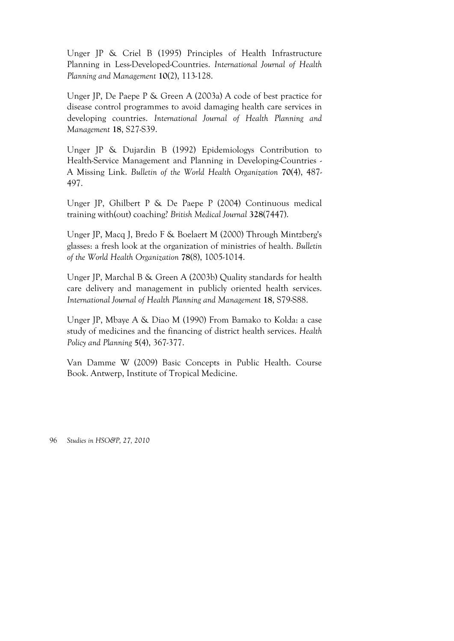Unger JP & Criel B (1995) Principles of Health Infrastructure Planning in Less-Developed-Countries. *International Journal of Health Planning and Management* **10**(2), 113-128.

Unger JP, De Paepe P & Green A (2003a) A code of best practice for disease control programmes to avoid damaging health care services in developing countries. *International Journal of Health Planning and Management* **18**, S27-S39.

Unger JP & Dujardin B (1992) Epidemiologys Contribution to Health-Service Management and Planning in Developing-Countries - A Missing Link. *Bulletin of the World Health Organization* **70**(4), 487- 497.

Unger JP, Ghilbert P & De Paepe P (2004) Continuous medical training with(out) coaching? *British Medical Journal* **328**(7447).

Unger JP, Macq J, Bredo F & Boelaert M (2000) Through Mintzberg's glasses: a fresh look at the organization of ministries of health. *Bulletin of the World Health Organization* **78**(8), 1005-1014.

Unger JP, Marchal B & Green A (2003b) Quality standards for health care delivery and management in publicly oriented health services. *International Journal of Health Planning and Management* **18**, S79-S88.

Unger JP, Mbaye A & Diao M (1990) From Bamako to Kolda: a case study of medicines and the financing of district health services. *Health Policy and Planning* **5**(4), 367-377.

Van Damme W (2009) Basic Concepts in Public Health. Course Book. Antwerp, Institute of Tropical Medicine.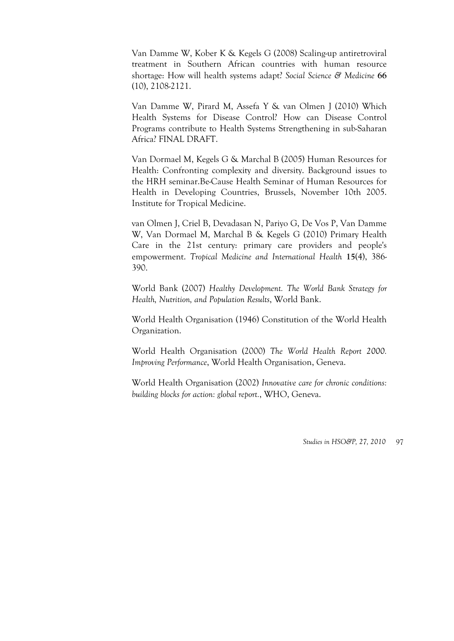Van Damme W, Kober K & Kegels G (2008) Scaling-up antiretroviral treatment in Southern African countries with human resource shortage: How will health systems adapt? *Social Science & Medicine* **66** (10), 2108-2121.

Van Damme W, Pirard M, Assefa Y & van Olmen J (2010) Which Health Systems for Disease Control? How can Disease Control Programs contribute to Health Systems Strengthening in sub-Saharan Africa? FINAL DRAFT.

Van Dormael M, Kegels G & Marchal B (2005) Human Resources for Health: Confronting complexity and diversity. Background issues to the HRH seminar.Be-Cause Health Seminar of Human Resources for Health in Developing Countries, Brussels, November 10th 2005. Institute for Tropical Medicine.

van Olmen J, Criel B, Devadasan N, Pariyo G, De Vos P, Van Damme W, Van Dormael M, Marchal B & Kegels G (2010) Primary Health Care in the 21st century: primary care providers and people's empowerment. *Tropical Medicine and International Health* **15**(4), 386- 390.

World Bank (2007) *Healthy Development. The World Bank Strategy for Health, Nutrition, and Population Results*, World Bank.

World Health Organisation (1946) Constitution of the World Health Organization.

World Health Organisation (2000) *The World Health Report 2000. Improving Performance*, World Health Organisation, Geneva.

World Health Organisation (2002) *Innovative care for chronic conditions: building blocks for action: global report.*, WHO, Geneva.